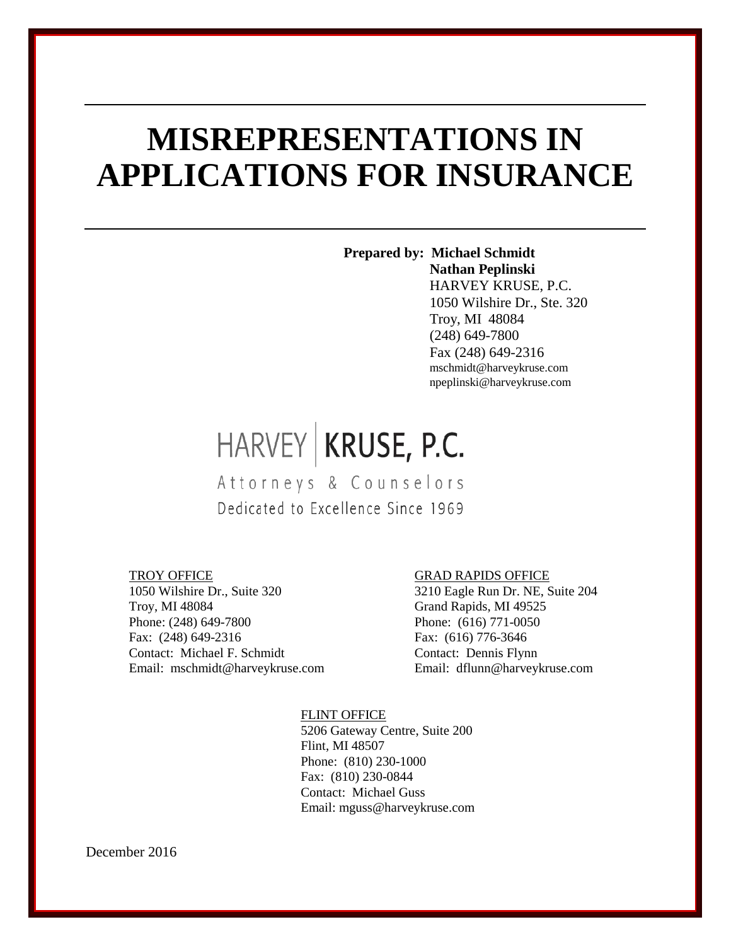# **MISREPRESENTATIONS IN APPLICATIONS FOR INSURANCE**

**Prepared by: Michael Schmidt Nathan Peplinski** HARVEY KRUSE, P.C. 1050 Wilshire Dr., Ste. 320 Troy, MI 48084 (248) 649-7800 Fax (248) 649-2316 mschmidt@harveykruse.com npeplinski@harveykruse.com

# HARVEY KRUSE, P.C.

Attorneys & Counselors Dedicated to Excellence Since 1969

#### TROY OFFICE

1050 Wilshire Dr., Suite 320 Troy, MI 48084 Phone: (248) 649-7800 Fax: (248) 649-2316 Contact: Michael F. Schmidt Email: mschmidt@harveykruse.com

#### GRAD RAPIDS OFFICE

3210 Eagle Run Dr. NE, Suite 204 Grand Rapids, MI 49525 Phone: (616) 771-0050 Fax: (616) 776-3646 Contact: Dennis Flynn Email: dflunn@harveykruse.com

#### FLINT OFFICE

5206 Gateway Centre, Suite 200 Flint, MI 48507 Phone: (810) 230-1000 Fax: (810) 230-0844 Contact: Michael Guss Email: mguss@harveykruse.com

December 2016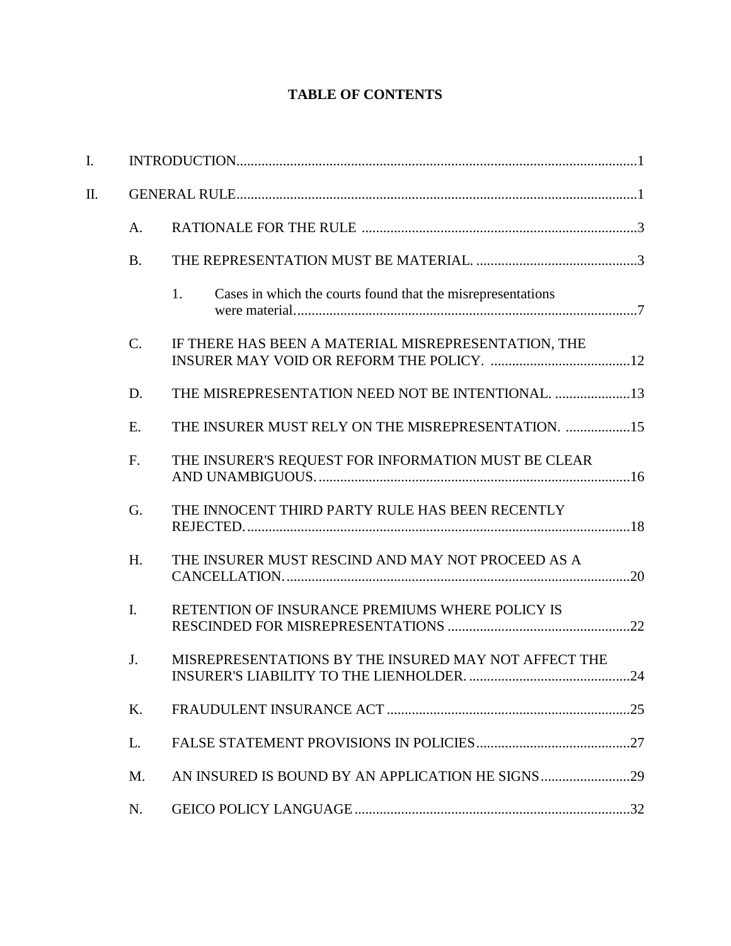# **TABLE OF CONTENTS**

| $\mathbf{I}$ . |           |                                                                   |  |
|----------------|-----------|-------------------------------------------------------------------|--|
| Π.             |           |                                                                   |  |
|                | A.        |                                                                   |  |
|                | <b>B.</b> |                                                                   |  |
|                |           | Cases in which the courts found that the misrepresentations<br>1. |  |
|                | C.        | IF THERE HAS BEEN A MATERIAL MISREPRESENTATION, THE               |  |
|                | D.        | THE MISREPRESENTATION NEED NOT BE INTENTIONAL. 13                 |  |
|                | E.        | THE INSURER MUST RELY ON THE MISREPRESENTATION. 15                |  |
|                | F.        | THE INSURER'S REQUEST FOR INFORMATION MUST BE CLEAR               |  |
|                | G.        | THE INNOCENT THIRD PARTY RULE HAS BEEN RECENTLY                   |  |
|                | H.        | THE INSURER MUST RESCIND AND MAY NOT PROCEED AS A                 |  |
|                | I.        | RETENTION OF INSURANCE PREMIUMS WHERE POLICY IS                   |  |
|                | J.        | MISREPRESENTATIONS BY THE INSURED MAY NOT AFFECT THE              |  |
|                | K.        |                                                                   |  |
|                | L.        |                                                                   |  |
|                | M.        |                                                                   |  |
|                | N.        |                                                                   |  |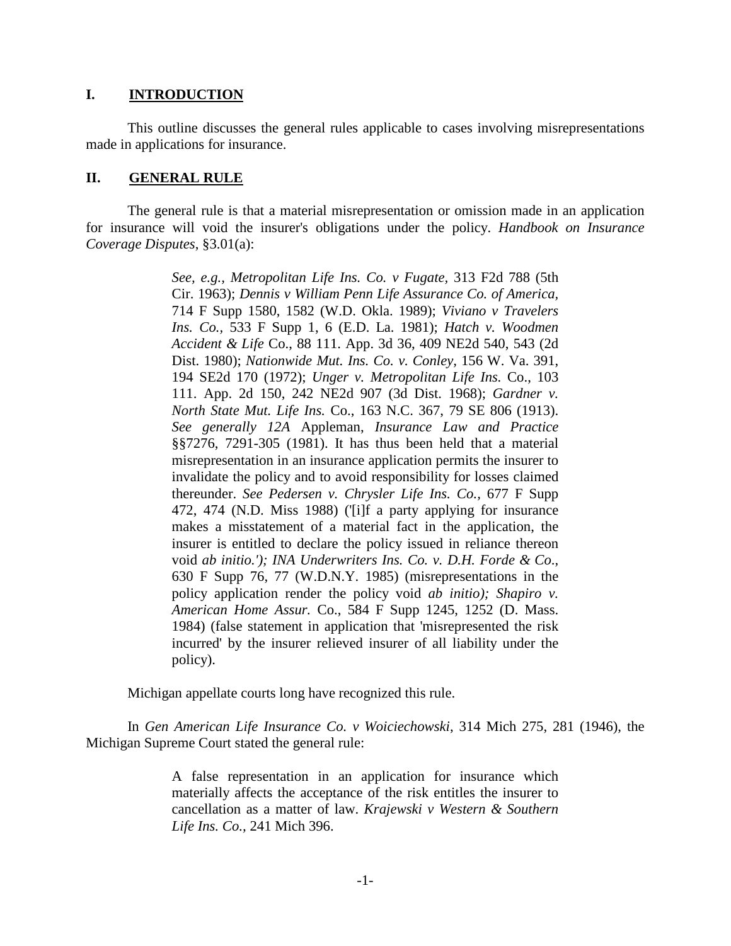#### **I. INTRODUCTION**

This outline discusses the general rules applicable to cases involving misrepresentations made in applications for insurance.

#### **II. GENERAL RULE**

The general rule is that a material misrepresentation or omission made in an application for insurance will void the insurer's obligations under the policy. *Handbook on Insurance Coverage Disputes*, §3.01(a):

> *See, e.g., Metropolitan Life Ins. Co. v Fugate,* 313 F2d 788 (5th Cir. 1963); *Dennis v William Penn Life Assurance Co. of America,*  714 F Supp 1580, 1582 (W.D. Okla. 1989); *Viviano v Travelers Ins. Co.,* 533 F Supp 1, 6 (E.D. La. 1981); *Hatch v. Woodmen Accident & Life* Co., 88 111. App. 3d 36, 409 NE2d 540, 543 (2d Dist. 1980); *Nationwide Mut. Ins. Co. v. Conley,* 156 W. Va. 391, 194 SE2d 170 (1972); *Unger v. Metropolitan Life Ins.* Co., 103 111. App. 2d 150, 242 NE2d 907 (3d Dist. 1968); *Gardner v. North State Mut. Life Ins.* Co., 163 N.C. 367, 79 SE 806 (1913). *See generally 12A* Appleman, *Insurance Law and Practice*  §§7276, 7291-305 (1981). It has thus been held that a material misrepresentation in an insurance application permits the insurer to invalidate the policy and to avoid responsibility for losses claimed thereunder. *See Pedersen v. Chrysler Life Ins. Co.,* 677 F Supp 472, 474 (N.D. Miss 1988) ('[i]f a party applying for insurance makes a misstatement of a material fact in the application, the insurer is entitled to declare the policy issued in reliance thereon void *ab initio.'); INA Underwriters Ins. Co. v. D.H. Forde & Co*., 630 F Supp 76, 77 (W.D.N.Y. 1985) (misrepresentations in the policy application render the policy void *ab initio); Shapiro v. American Home Assur.* Co., 584 F Supp 1245, 1252 (D. Mass. 1984) (false statement in application that 'misrepresented the risk incurred' by the insurer relieved insurer of all liability under the policy).

Michigan appellate courts long have recognized this rule.

In *Gen American Life Insurance Co. v Woiciechowski*, 314 Mich 275, 281 (1946), the Michigan Supreme Court stated the general rule:

> A false representation in an application for insurance which materially affects the acceptance of the risk entitles the insurer to cancellation as a matter of law. *Krajewski v Western & Southern Life Ins. Co.,* 241 Mich 396.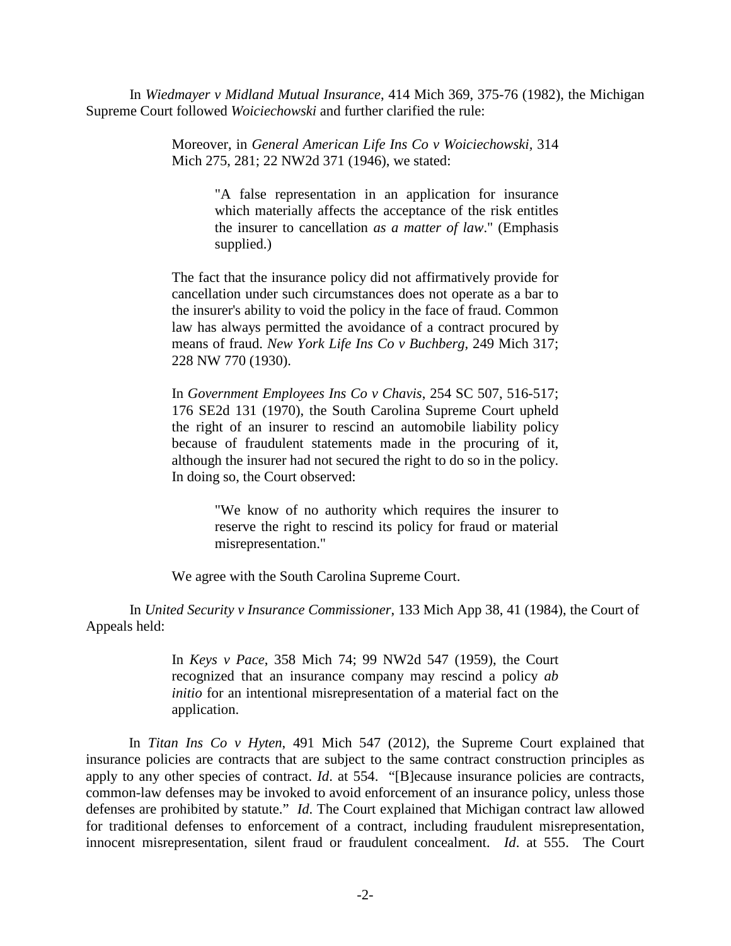In *Wiedmayer v Midland Mutual Insurance*, 414 Mich 369, 375-76 (1982), the Michigan Supreme Court followed *Woiciechowski* and further clarified the rule:

> Moreover, in *General American Life Ins Co v Woiciechowski,* 314 Mich 275, 281; 22 NW2d 371 (1946), we stated:

> > "A false representation in an application for insurance which materially affects the acceptance of the risk entitles the insurer to cancellation *as a matter of law*." (Emphasis supplied.)

The fact that the insurance policy did not affirmatively provide for cancellation under such circumstances does not operate as a bar to the insurer's ability to void the policy in the face of fraud. Common law has always permitted the avoidance of a contract procured by means of fraud. *New York Life Ins Co v Buchberg,* 249 Mich 317; 228 NW 770 (1930).

In *Government Employees Ins Co v Chavis*, 254 SC 507, 516-517; 176 SE2d 131 (1970), the South Carolina Supreme Court upheld the right of an insurer to rescind an automobile liability policy because of fraudulent statements made in the procuring of it, although the insurer had not secured the right to do so in the policy. In doing so, the Court observed:

> "We know of no authority which requires the insurer to reserve the right to rescind its policy for fraud or material misrepresentation."

We agree with the South Carolina Supreme Court.

In *United Security v Insurance Commissioner*, 133 Mich App 38, 41 (1984), the Court of Appeals held:

> In *Keys v Pace*, 358 Mich 74; 99 NW2d 547 (1959), the Court recognized that an insurance company may rescind a policy *ab initio* for an intentional misrepresentation of a material fact on the application.

In *Titan Ins Co v Hyten*, 491 Mich 547 (2012), the Supreme Court explained that insurance policies are contracts that are subject to the same contract construction principles as apply to any other species of contract. *Id*. at 554. "[B]ecause insurance policies are contracts, common-law defenses may be invoked to avoid enforcement of an insurance policy, unless those defenses are prohibited by statute." *Id*. The Court explained that Michigan contract law allowed for traditional defenses to enforcement of a contract, including fraudulent misrepresentation, innocent misrepresentation, silent fraud or fraudulent concealment. *Id*. at 555. The Court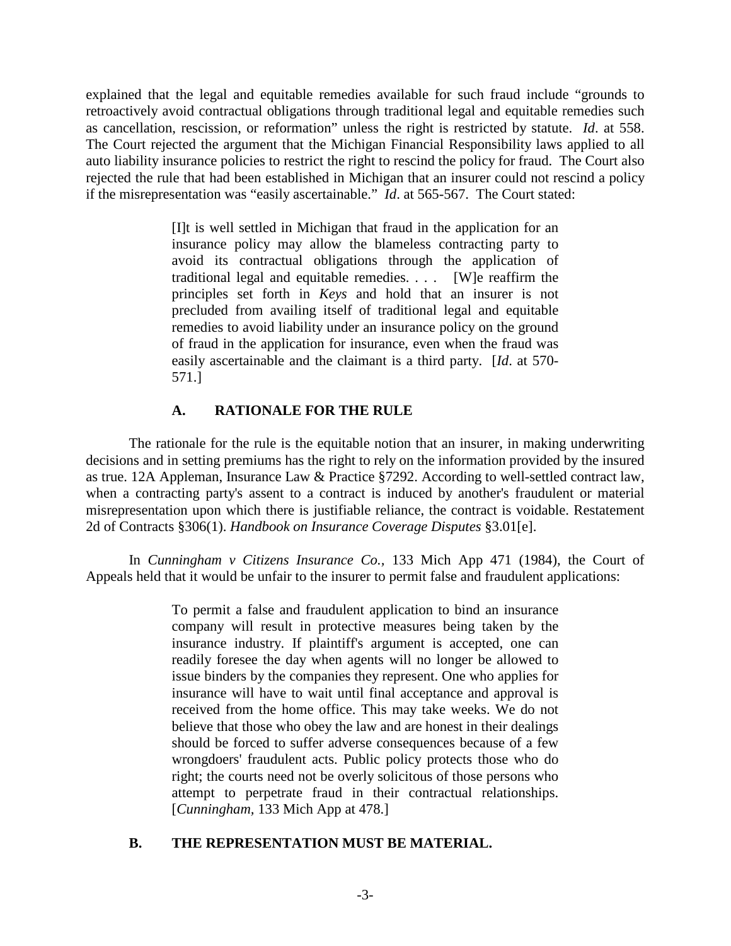explained that the legal and equitable remedies available for such fraud include "grounds to retroactively avoid contractual obligations through traditional legal and equitable remedies such as cancellation, rescission, or reformation" unless the right is restricted by statute. *Id*. at 558. The Court rejected the argument that the Michigan Financial Responsibility laws applied to all auto liability insurance policies to restrict the right to rescind the policy for fraud. The Court also rejected the rule that had been established in Michigan that an insurer could not rescind a policy if the misrepresentation was "easily ascertainable." *Id*. at 565-567. The Court stated:

> [I]t is well settled in Michigan that fraud in the application for an insurance policy may allow the blameless contracting party to avoid its contractual obligations through the application of traditional legal and equitable remedies. . . . [W]e reaffirm the principles set forth in *Keys* and hold that an insurer is not precluded from availing itself of traditional legal and equitable remedies to avoid liability under an insurance policy on the ground of fraud in the application for insurance, even when the fraud was easily ascertainable and the claimant is a third party. [*Id*. at 570- 571.]

# **A. RATIONALE FOR THE RULE**

The rationale for the rule is the equitable notion that an insurer, in making underwriting decisions and in setting premiums has the right to rely on the information provided by the insured as true. 12A Appleman, Insurance Law & Practice §7292. According to well-settled contract law, when a contracting party's assent to a contract is induced by another's fraudulent or material misrepresentation upon which there is justifiable reliance, the contract is voidable. Restatement 2d of Contracts §306(1). *Handbook on Insurance Coverage Disputes* §3.01[e].

In *Cunningham v Citizens Insurance Co.,* 133 Mich App 471 (1984), the Court of Appeals held that it would be unfair to the insurer to permit false and fraudulent applications:

> To permit a false and fraudulent application to bind an insurance company will result in protective measures being taken by the insurance industry. If plaintiff's argument is accepted, one can readily foresee the day when agents will no longer be allowed to issue binders by the companies they represent. One who applies for insurance will have to wait until final acceptance and approval is received from the home office. This may take weeks. We do not believe that those who obey the law and are honest in their dealings should be forced to suffer adverse consequences because of a few wrongdoers' fraudulent acts. Public policy protects those who do right; the courts need not be overly solicitous of those persons who attempt to perpetrate fraud in their contractual relationships. [*Cunningham,* 133 Mich App at 478.]

# **B. THE REPRESENTATION MUST BE MATERIAL.**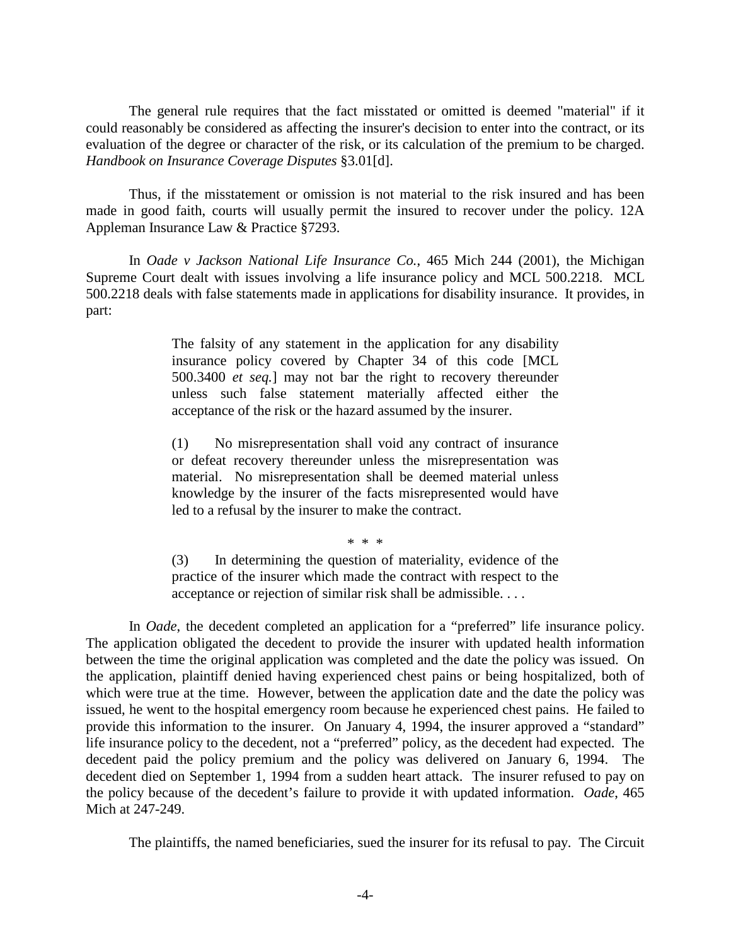The general rule requires that the fact misstated or omitted is deemed "material" if it could reasonably be considered as affecting the insurer's decision to enter into the contract, or its evaluation of the degree or character of the risk, or its calculation of the premium to be charged. *Handbook on Insurance Coverage Disputes* §3.01[d].

Thus, if the misstatement or omission is not material to the risk insured and has been made in good faith, courts will usually permit the insured to recover under the policy. 12A Appleman Insurance Law & Practice §7293.

In *Oade v Jackson National Life Insurance Co.*, 465 Mich 244 (2001), the Michigan Supreme Court dealt with issues involving a life insurance policy and MCL 500.2218. MCL 500.2218 deals with false statements made in applications for disability insurance. It provides, in part:

> The falsity of any statement in the application for any disability insurance policy covered by Chapter 34 of this code [MCL 500.3400 *et seq.*] may not bar the right to recovery thereunder unless such false statement materially affected either the acceptance of the risk or the hazard assumed by the insurer.

> (1) No misrepresentation shall void any contract of insurance or defeat recovery thereunder unless the misrepresentation was material. No misrepresentation shall be deemed material unless knowledge by the insurer of the facts misrepresented would have led to a refusal by the insurer to make the contract.

> > \* \* \*

(3) In determining the question of materiality, evidence of the practice of the insurer which made the contract with respect to the acceptance or rejection of similar risk shall be admissible. . . .

In *Oade*, the decedent completed an application for a "preferred" life insurance policy. The application obligated the decedent to provide the insurer with updated health information between the time the original application was completed and the date the policy was issued. On the application, plaintiff denied having experienced chest pains or being hospitalized, both of which were true at the time. However, between the application date and the date the policy was issued, he went to the hospital emergency room because he experienced chest pains. He failed to provide this information to the insurer. On January 4, 1994, the insurer approved a "standard" life insurance policy to the decedent, not a "preferred" policy, as the decedent had expected. The decedent paid the policy premium and the policy was delivered on January 6, 1994. The decedent died on September 1, 1994 from a sudden heart attack. The insurer refused to pay on the policy because of the decedent's failure to provide it with updated information. *Oade*, 465 Mich at 247-249.

The plaintiffs, the named beneficiaries, sued the insurer for its refusal to pay. The Circuit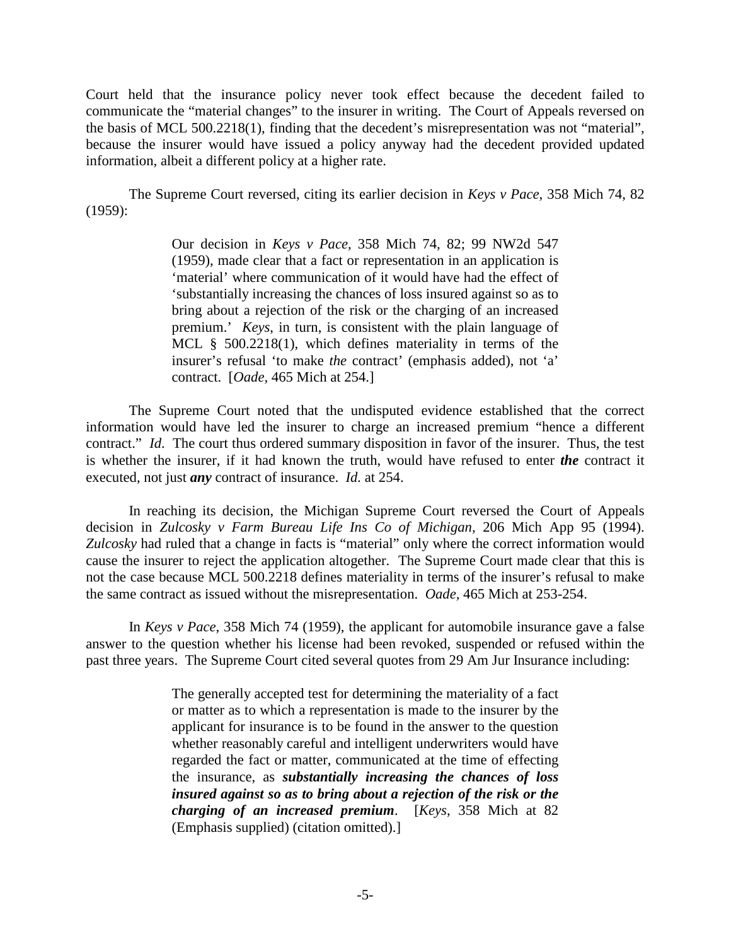Court held that the insurance policy never took effect because the decedent failed to communicate the "material changes" to the insurer in writing. The Court of Appeals reversed on the basis of MCL 500.2218(1), finding that the decedent's misrepresentation was not "material", because the insurer would have issued a policy anyway had the decedent provided updated information, albeit a different policy at a higher rate.

The Supreme Court reversed, citing its earlier decision in *Keys v Pace*, 358 Mich 74, 82 (1959):

> Our decision in *Keys v Pace*, 358 Mich 74, 82; 99 NW2d 547 (1959), made clear that a fact or representation in an application is 'material' where communication of it would have had the effect of 'substantially increasing the chances of loss insured against so as to bring about a rejection of the risk or the charging of an increased premium.' *Keys*, in turn, is consistent with the plain language of MCL § 500.2218(1), which defines materiality in terms of the insurer's refusal 'to make *the* contract' (emphasis added), not 'a' contract. [*Oade,* 465 Mich at 254.]

The Supreme Court noted that the undisputed evidence established that the correct information would have led the insurer to charge an increased premium "hence a different contract." *Id*. The court thus ordered summary disposition in favor of the insurer. Thus, the test is whether the insurer, if it had known the truth, would have refused to enter *the* contract it executed, not just *any* contract of insurance. *Id.* at 254.

In reaching its decision, the Michigan Supreme Court reversed the Court of Appeals decision in *Zulcosky v Farm Bureau Life Ins Co of Michigan,* 206 Mich App 95 (1994). *Zulcosky* had ruled that a change in facts is "material" only where the correct information would cause the insurer to reject the application altogether. The Supreme Court made clear that this is not the case because MCL 500.2218 defines materiality in terms of the insurer's refusal to make the same contract as issued without the misrepresentation. *Oade,* 465 Mich at 253-254.

In *Keys v Pace*, 358 Mich 74 (1959), the applicant for automobile insurance gave a false answer to the question whether his license had been revoked, suspended or refused within the past three years. The Supreme Court cited several quotes from 29 Am Jur Insurance including:

> The generally accepted test for determining the materiality of a fact or matter as to which a representation is made to the insurer by the applicant for insurance is to be found in the answer to the question whether reasonably careful and intelligent underwriters would have regarded the fact or matter, communicated at the time of effecting the insurance, as *substantially increasing the chances of loss insured against so as to bring about a rejection of the risk or the charging of an increased premium*. [*Keys*, 358 Mich at 82 (Emphasis supplied) (citation omitted).]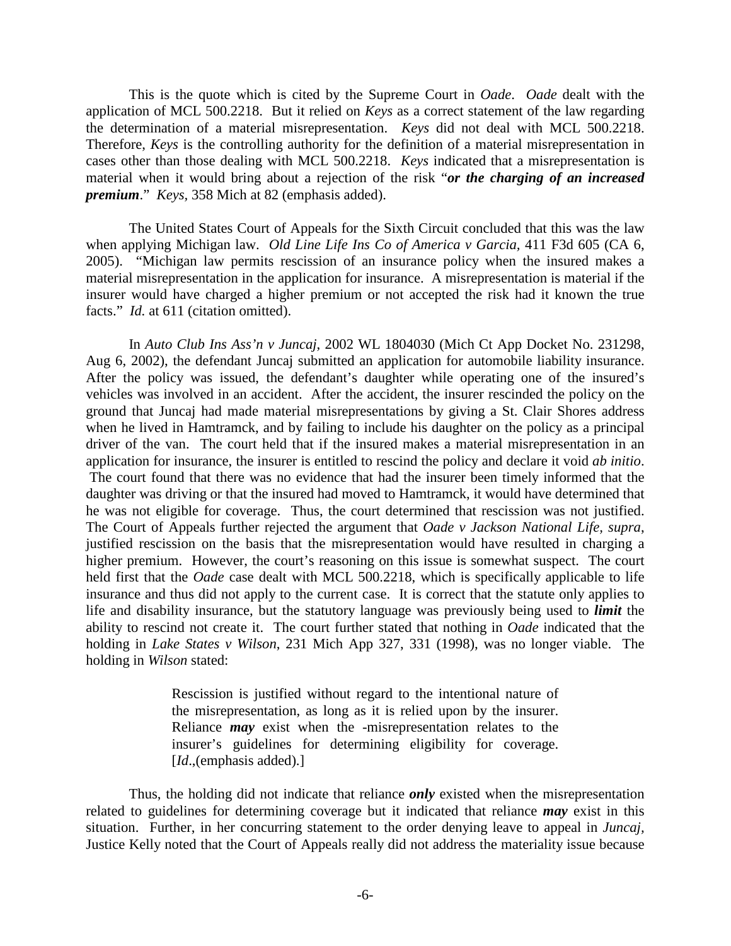This is the quote which is cited by the Supreme Court in *Oade*. *Oade* dealt with the application of MCL 500.2218. But it relied on *Keys* as a correct statement of the law regarding the determination of a material misrepresentation. *Keys* did not deal with MCL 500.2218. Therefore, *Keys* is the controlling authority for the definition of a material misrepresentation in cases other than those dealing with MCL 500.2218. *Keys* indicated that a misrepresentation is material when it would bring about a rejection of the risk "*or the charging of an increased premium*." *Keys,* 358 Mich at 82 (emphasis added).

The United States Court of Appeals for the Sixth Circuit concluded that this was the law when applying Michigan law. *Old Line Life Ins Co of America v Garcia,* 411 F3d 605 (CA 6, 2005). "Michigan law permits rescission of an insurance policy when the insured makes a material misrepresentation in the application for insurance. A misrepresentation is material if the insurer would have charged a higher premium or not accepted the risk had it known the true facts." *Id.* at 611 (citation omitted).

In *Auto Club Ins Ass'n v Juncaj*, 2002 WL 1804030 (Mich Ct App Docket No. 231298, Aug 6, 2002), the defendant Juncaj submitted an application for automobile liability insurance. After the policy was issued, the defendant's daughter while operating one of the insured's vehicles was involved in an accident. After the accident, the insurer rescinded the policy on the ground that Juncaj had made material misrepresentations by giving a St. Clair Shores address when he lived in Hamtramck, and by failing to include his daughter on the policy as a principal driver of the van. The court held that if the insured makes a material misrepresentation in an application for insurance, the insurer is entitled to rescind the policy and declare it void *ab initio*. The court found that there was no evidence that had the insurer been timely informed that the daughter was driving or that the insured had moved to Hamtramck, it would have determined that he was not eligible for coverage. Thus, the court determined that rescission was not justified. The Court of Appeals further rejected the argument that *Oade v Jackson National Life, supra*, justified rescission on the basis that the misrepresentation would have resulted in charging a higher premium. However, the court's reasoning on this issue is somewhat suspect. The court held first that the *Oade* case dealt with MCL 500.2218, which is specifically applicable to life insurance and thus did not apply to the current case. It is correct that the statute only applies to life and disability insurance, but the statutory language was previously being used to *limit* the ability to rescind not create it. The court further stated that nothing in *Oade* indicated that the holding in *Lake States v Wilson*, 231 Mich App 327, 331 (1998), was no longer viable. The holding in *Wilson* stated:

> Rescission is justified without regard to the intentional nature of the misrepresentation, as long as it is relied upon by the insurer. Reliance *may* exist when the -misrepresentation relates to the insurer's guidelines for determining eligibility for coverage. [*Id*.,(emphasis added).]

Thus, the holding did not indicate that reliance *only* existed when the misrepresentation related to guidelines for determining coverage but it indicated that reliance *may* exist in this situation. Further, in her concurring statement to the order denying leave to appeal in *Juncaj,* Justice Kelly noted that the Court of Appeals really did not address the materiality issue because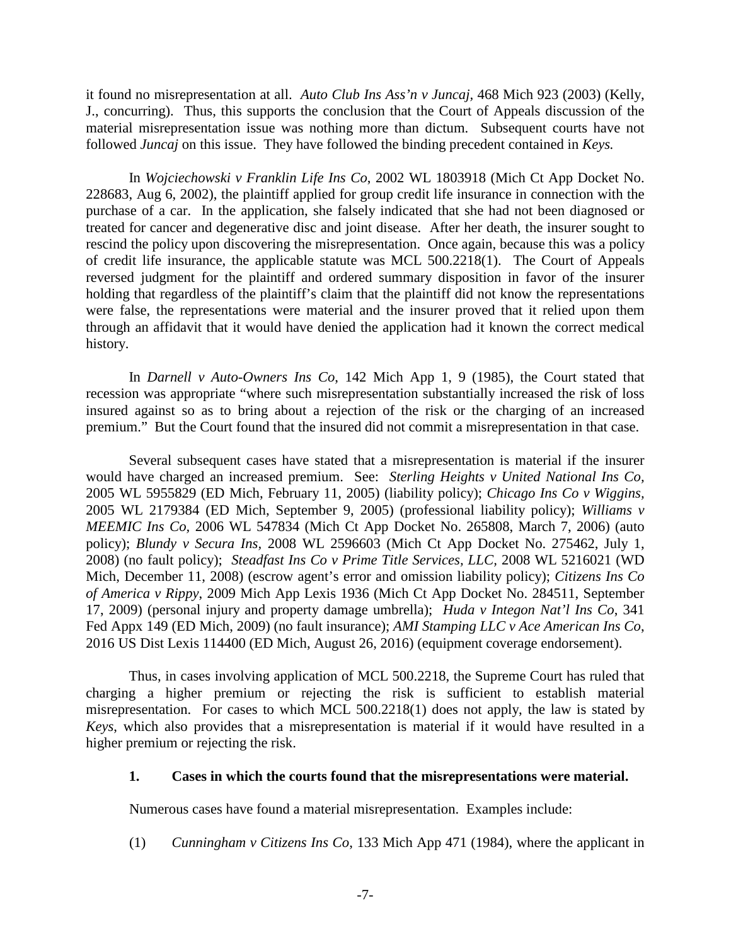it found no misrepresentation at all. *Auto Club Ins Ass'n v Juncaj,* 468 Mich 923 (2003) (Kelly, J., concurring). Thus, this supports the conclusion that the Court of Appeals discussion of the material misrepresentation issue was nothing more than dictum. Subsequent courts have not followed *Juncaj* on this issue. They have followed the binding precedent contained in *Keys.*

In *Wojciechowski v Franklin Life Ins Co*, 2002 WL 1803918 (Mich Ct App Docket No. 228683, Aug 6, 2002), the plaintiff applied for group credit life insurance in connection with the purchase of a car. In the application, she falsely indicated that she had not been diagnosed or treated for cancer and degenerative disc and joint disease. After her death, the insurer sought to rescind the policy upon discovering the misrepresentation. Once again, because this was a policy of credit life insurance, the applicable statute was MCL 500.2218(1). The Court of Appeals reversed judgment for the plaintiff and ordered summary disposition in favor of the insurer holding that regardless of the plaintiff's claim that the plaintiff did not know the representations were false, the representations were material and the insurer proved that it relied upon them through an affidavit that it would have denied the application had it known the correct medical history.

In *Darnell v Auto-Owners Ins Co*, 142 Mich App 1, 9 (1985), the Court stated that recession was appropriate "where such misrepresentation substantially increased the risk of loss insured against so as to bring about a rejection of the risk or the charging of an increased premium." But the Court found that the insured did not commit a misrepresentation in that case.

Several subsequent cases have stated that a misrepresentation is material if the insurer would have charged an increased premium. See: *Sterling Heights v United National Ins Co,* 2005 WL 5955829 (ED Mich, February 11, 2005) (liability policy); *Chicago Ins Co v Wiggins,* 2005 WL 2179384 (ED Mich, September 9, 2005) (professional liability policy); *Williams v MEEMIC Ins Co,* 2006 WL 547834 (Mich Ct App Docket No. 265808, March 7, 2006) (auto policy); *Blundy v Secura Ins,* 2008 WL 2596603 (Mich Ct App Docket No. 275462, July 1, 2008) (no fault policy); *Steadfast Ins Co v Prime Title Services, LLC,* 2008 WL 5216021 (WD Mich, December 11, 2008) (escrow agent's error and omission liability policy); *Citizens Ins Co of America v Rippy*, 2009 Mich App Lexis 1936 (Mich Ct App Docket No. 284511, September 17, 2009) (personal injury and property damage umbrella); *Huda v Integon Nat'l Ins Co*, 341 Fed Appx 149 (ED Mich, 2009) (no fault insurance); *AMI Stamping LLC v Ace American Ins Co*, 2016 US Dist Lexis 114400 (ED Mich, August 26, 2016) (equipment coverage endorsement).

Thus, in cases involving application of MCL 500.2218, the Supreme Court has ruled that charging a higher premium or rejecting the risk is sufficient to establish material misrepresentation. For cases to which MCL 500.2218(1) does not apply, the law is stated by *Keys*, which also provides that a misrepresentation is material if it would have resulted in a higher premium or rejecting the risk.

#### **1. Cases in which the courts found that the misrepresentations were material.**

Numerous cases have found a material misrepresentation. Examples include:

(1) *Cunningham v Citizens Ins Co*, 133 Mich App 471 (1984), where the applicant in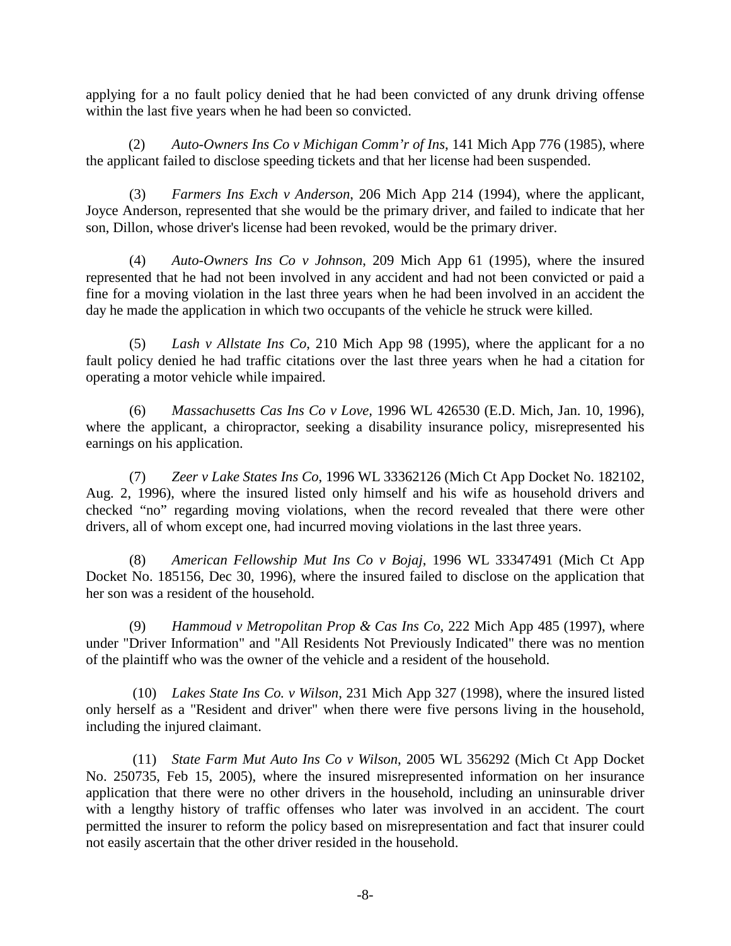applying for a no fault policy denied that he had been convicted of any drunk driving offense within the last five years when he had been so convicted.

(2) *Auto-Owners Ins Co v Michigan Comm'r of Ins*, 141 Mich App 776 (1985), where the applicant failed to disclose speeding tickets and that her license had been suspended.

(3) *Farmers Ins Exch v Anderson*, 206 Mich App 214 (1994), where the applicant, Joyce Anderson, represented that she would be the primary driver, and failed to indicate that her son, Dillon, whose driver's license had been revoked, would be the primary driver.

(4) *Auto-Owners Ins Co v Johnson*, 209 Mich App 61 (1995), where the insured represented that he had not been involved in any accident and had not been convicted or paid a fine for a moving violation in the last three years when he had been involved in an accident the day he made the application in which two occupants of the vehicle he struck were killed.

(5) *Lash v Allstate Ins Co*, 210 Mich App 98 (1995), where the applicant for a no fault policy denied he had traffic citations over the last three years when he had a citation for operating a motor vehicle while impaired.

(6) *Massachusetts Cas Ins Co v Love,* 1996 WL 426530 (E.D. Mich, Jan. 10, 1996), where the applicant, a chiropractor, seeking a disability insurance policy, misrepresented his earnings on his application.

(7) *Zeer v Lake States Ins Co*, 1996 WL 33362126 (Mich Ct App Docket No. 182102, Aug. 2, 1996), where the insured listed only himself and his wife as household drivers and checked "no" regarding moving violations, when the record revealed that there were other drivers, all of whom except one, had incurred moving violations in the last three years.

(8) *American Fellowship Mut Ins Co v Bojaj*, 1996 WL 33347491 (Mich Ct App Docket No. 185156, Dec 30, 1996), where the insured failed to disclose on the application that her son was a resident of the household.

(9) *Hammoud v Metropolitan Prop & Cas Ins Co*, 222 Mich App 485 (1997), where under "Driver Information" and "All Residents Not Previously Indicated" there was no mention of the plaintiff who was the owner of the vehicle and a resident of the household.

(10) *Lakes State Ins Co. v Wilson*, 231 Mich App 327 (1998), where the insured listed only herself as a "Resident and driver" when there were five persons living in the household, including the injured claimant.

(11) *State Farm Mut Auto Ins Co v Wilson*, 2005 WL 356292 (Mich Ct App Docket No. 250735, Feb 15, 2005), where the insured misrepresented information on her insurance application that there were no other drivers in the household, including an uninsurable driver with a lengthy history of traffic offenses who later was involved in an accident. The court permitted the insurer to reform the policy based on misrepresentation and fact that insurer could not easily ascertain that the other driver resided in the household.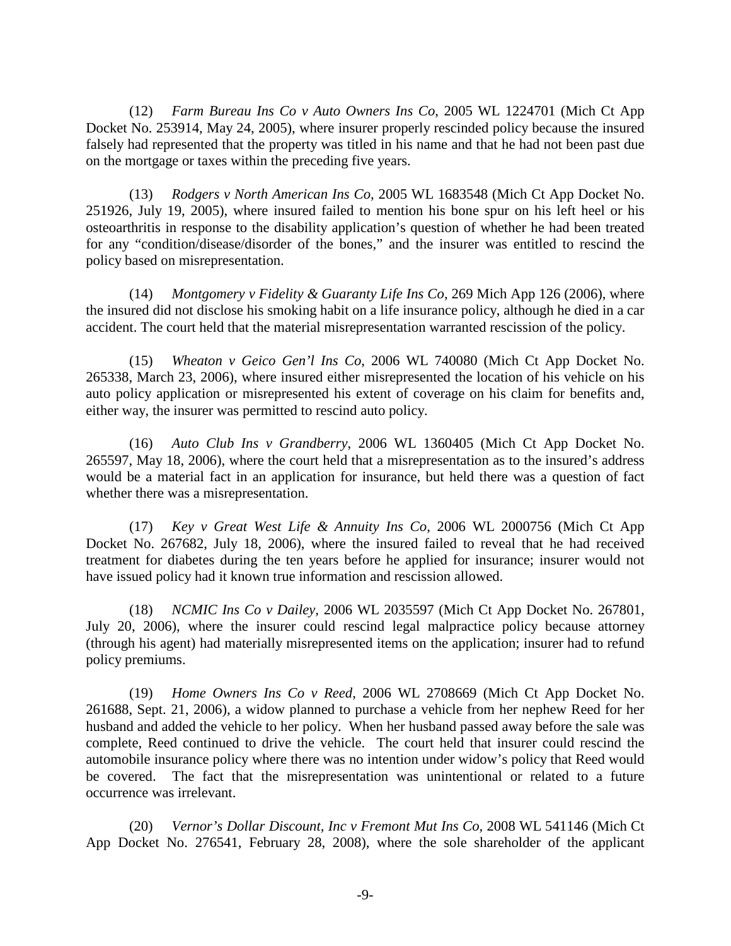(12) *Farm Bureau Ins Co v Auto Owners Ins Co*, 2005 WL 1224701 (Mich Ct App Docket No. 253914, May 24, 2005), where insurer properly rescinded policy because the insured falsely had represented that the property was titled in his name and that he had not been past due on the mortgage or taxes within the preceding five years.

(13) *Rodgers v North American Ins Co*, 2005 WL 1683548 (Mich Ct App Docket No. 251926, July 19, 2005), where insured failed to mention his bone spur on his left heel or his osteoarthritis in response to the disability application's question of whether he had been treated for any "condition/disease/disorder of the bones," and the insurer was entitled to rescind the policy based on misrepresentation.

(14) *Montgomery v Fidelity & Guaranty Life Ins Co*, 269 Mich App 126 (2006), where the insured did not disclose his smoking habit on a life insurance policy, although he died in a car accident. The court held that the material misrepresentation warranted rescission of the policy.

(15) *Wheaton v Geico Gen'l Ins Co*, 2006 WL 740080 (Mich Ct App Docket No. 265338, March 23, 2006), where insured either misrepresented the location of his vehicle on his auto policy application or misrepresented his extent of coverage on his claim for benefits and, either way, the insurer was permitted to rescind auto policy.

(16) *Auto Club Ins v Grandberry*, 2006 WL 1360405 (Mich Ct App Docket No. 265597, May 18, 2006), where the court held that a misrepresentation as to the insured's address would be a material fact in an application for insurance, but held there was a question of fact whether there was a misrepresentation.

(17) *Key v Great West Life & Annuity Ins Co*, 2006 WL 2000756 (Mich Ct App Docket No. 267682, July 18, 2006), where the insured failed to reveal that he had received treatment for diabetes during the ten years before he applied for insurance; insurer would not have issued policy had it known true information and rescission allowed.

(18) *NCMIC Ins Co v Dailey*, 2006 WL 2035597 (Mich Ct App Docket No. 267801, July 20, 2006), where the insurer could rescind legal malpractice policy because attorney (through his agent) had materially misrepresented items on the application; insurer had to refund policy premiums.

(19) *Home Owners Ins Co v Reed*, 2006 WL 2708669 (Mich Ct App Docket No. 261688, Sept. 21, 2006), a widow planned to purchase a vehicle from her nephew Reed for her husband and added the vehicle to her policy. When her husband passed away before the sale was complete, Reed continued to drive the vehicle. The court held that insurer could rescind the automobile insurance policy where there was no intention under widow's policy that Reed would be covered. The fact that the misrepresentation was unintentional or related to a future occurrence was irrelevant.

(20) *Vernor's Dollar Discount, Inc v Fremont Mut Ins Co,* 2008 WL 541146 (Mich Ct App Docket No. 276541, February 28, 2008), where the sole shareholder of the applicant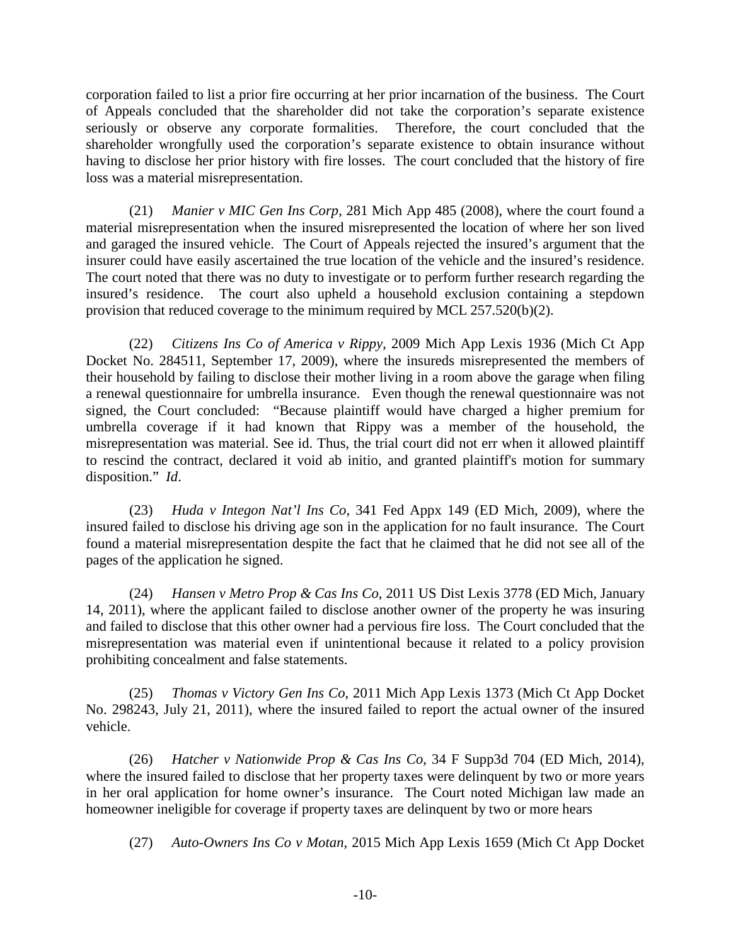corporation failed to list a prior fire occurring at her prior incarnation of the business. The Court of Appeals concluded that the shareholder did not take the corporation's separate existence seriously or observe any corporate formalities. Therefore, the court concluded that the shareholder wrongfully used the corporation's separate existence to obtain insurance without having to disclose her prior history with fire losses. The court concluded that the history of fire loss was a material misrepresentation.

(21) *Manier v MIC Gen Ins Corp,* 281 Mich App 485 (2008), where the court found a material misrepresentation when the insured misrepresented the location of where her son lived and garaged the insured vehicle. The Court of Appeals rejected the insured's argument that the insurer could have easily ascertained the true location of the vehicle and the insured's residence. The court noted that there was no duty to investigate or to perform further research regarding the insured's residence. The court also upheld a household exclusion containing a stepdown provision that reduced coverage to the minimum required by MCL 257.520(b)(2).

(22) *Citizens Ins Co of America v Rippy*, 2009 Mich App Lexis 1936 (Mich Ct App Docket No. 284511, September 17, 2009), where the insureds misrepresented the members of their household by failing to disclose their mother living in a room above the garage when filing a renewal questionnaire for umbrella insurance. Even though the renewal questionnaire was not signed, the Court concluded: "Because plaintiff would have charged a higher premium for umbrella coverage if it had known that Rippy was a member of the household, the misrepresentation was material. See id. Thus, the trial court did not err when it allowed plaintiff to rescind the contract, declared it void ab initio, and granted plaintiff's motion for summary disposition." *Id*.

(23) *Huda v Integon Nat'l Ins Co*, 341 Fed Appx 149 (ED Mich, 2009), where the insured failed to disclose his driving age son in the application for no fault insurance. The Court found a material misrepresentation despite the fact that he claimed that he did not see all of the pages of the application he signed.

(24) *Hansen v Metro Prop & Cas Ins Co*, 2011 US Dist Lexis 3778 (ED Mich, January 14, 2011), where the applicant failed to disclose another owner of the property he was insuring and failed to disclose that this other owner had a pervious fire loss. The Court concluded that the misrepresentation was material even if unintentional because it related to a policy provision prohibiting concealment and false statements.

(25) *Thomas v Victory Gen Ins Co*, 2011 Mich App Lexis 1373 (Mich Ct App Docket No. 298243, July 21, 2011), where the insured failed to report the actual owner of the insured vehicle.

(26) *Hatcher v Nationwide Prop & Cas Ins Co*, 34 F Supp3d 704 (ED Mich, 2014), where the insured failed to disclose that her property taxes were delinquent by two or more years in her oral application for home owner's insurance. The Court noted Michigan law made an homeowner ineligible for coverage if property taxes are delinquent by two or more hears

(27) *Auto-Owners Ins Co v Motan*, 2015 Mich App Lexis 1659 (Mich Ct App Docket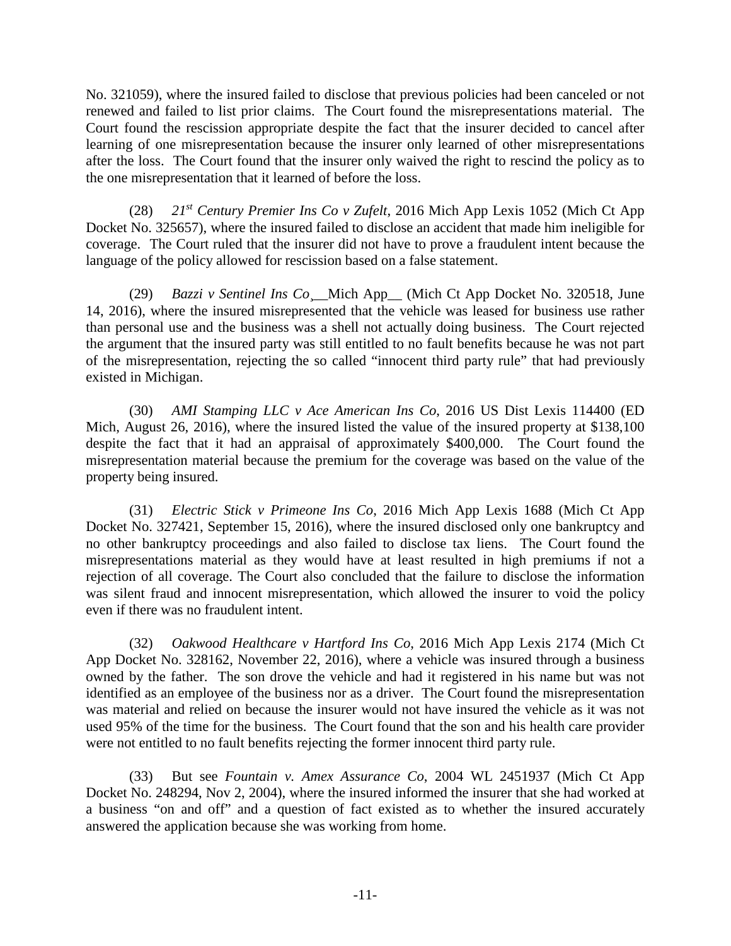No. 321059), where the insured failed to disclose that previous policies had been canceled or not renewed and failed to list prior claims. The Court found the misrepresentations material. The Court found the rescission appropriate despite the fact that the insurer decided to cancel after learning of one misrepresentation because the insurer only learned of other misrepresentations after the loss. The Court found that the insurer only waived the right to rescind the policy as to the one misrepresentation that it learned of before the loss.

(28) *21st Century Premier Ins Co v Zufelt*, 2016 Mich App Lexis 1052 (Mich Ct App Docket No. 325657), where the insured failed to disclose an accident that made him ineligible for coverage. The Court ruled that the insurer did not have to prove a fraudulent intent because the language of the policy allowed for rescission based on a false statement.

(29) *Bazzi v Sentinel Ins Co*¸\_\_Mich App\_\_ (Mich Ct App Docket No. 320518, June 14, 2016), where the insured misrepresented that the vehicle was leased for business use rather than personal use and the business was a shell not actually doing business. The Court rejected the argument that the insured party was still entitled to no fault benefits because he was not part of the misrepresentation, rejecting the so called "innocent third party rule" that had previously existed in Michigan.

(30) *AMI Stamping LLC v Ace American Ins Co*, 2016 US Dist Lexis 114400 (ED Mich, August 26, 2016), where the insured listed the value of the insured property at \$138,100 despite the fact that it had an appraisal of approximately \$400,000. The Court found the misrepresentation material because the premium for the coverage was based on the value of the property being insured.

(31) *Electric Stick v Primeone Ins Co*, 2016 Mich App Lexis 1688 (Mich Ct App Docket No. 327421, September 15, 2016), where the insured disclosed only one bankruptcy and no other bankruptcy proceedings and also failed to disclose tax liens. The Court found the misrepresentations material as they would have at least resulted in high premiums if not a rejection of all coverage. The Court also concluded that the failure to disclose the information was silent fraud and innocent misrepresentation, which allowed the insurer to void the policy even if there was no fraudulent intent.

(32) *Oakwood Healthcare v Hartford Ins Co*, 2016 Mich App Lexis 2174 (Mich Ct App Docket No. 328162, November 22, 2016), where a vehicle was insured through a business owned by the father. The son drove the vehicle and had it registered in his name but was not identified as an employee of the business nor as a driver. The Court found the misrepresentation was material and relied on because the insurer would not have insured the vehicle as it was not used 95% of the time for the business. The Court found that the son and his health care provider were not entitled to no fault benefits rejecting the former innocent third party rule.

(33) But see *Fountain v. Amex Assurance Co*, 2004 WL 2451937 (Mich Ct App Docket No. 248294, Nov 2, 2004), where the insured informed the insurer that she had worked at a business "on and off" and a question of fact existed as to whether the insured accurately answered the application because she was working from home.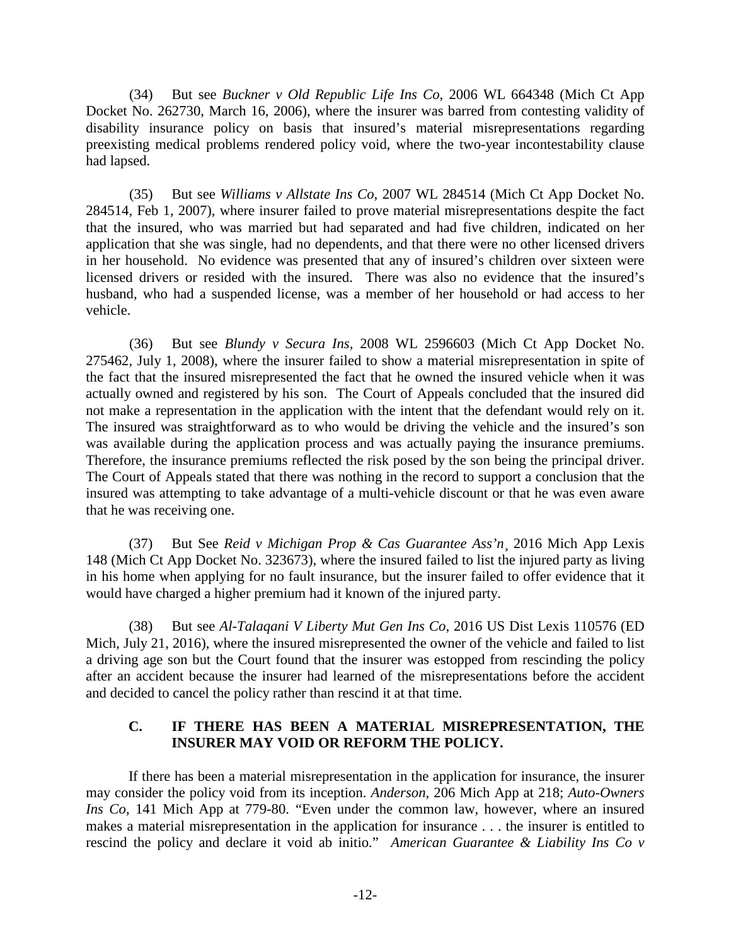(34) But see *Buckner v Old Republic Life Ins Co*, 2006 WL 664348 (Mich Ct App Docket No. 262730, March 16, 2006), where the insurer was barred from contesting validity of disability insurance policy on basis that insured's material misrepresentations regarding preexisting medical problems rendered policy void, where the two-year incontestability clause had lapsed.

(35) But see *Williams v Allstate Ins Co*, 2007 WL 284514 (Mich Ct App Docket No. 284514, Feb 1, 2007), where insurer failed to prove material misrepresentations despite the fact that the insured, who was married but had separated and had five children, indicated on her application that she was single, had no dependents, and that there were no other licensed drivers in her household. No evidence was presented that any of insured's children over sixteen were licensed drivers or resided with the insured. There was also no evidence that the insured's husband, who had a suspended license, was a member of her household or had access to her vehicle.

(36) But see *Blundy v Secura Ins,* 2008 WL 2596603 (Mich Ct App Docket No. 275462, July 1, 2008), where the insurer failed to show a material misrepresentation in spite of the fact that the insured misrepresented the fact that he owned the insured vehicle when it was actually owned and registered by his son. The Court of Appeals concluded that the insured did not make a representation in the application with the intent that the defendant would rely on it. The insured was straightforward as to who would be driving the vehicle and the insured's son was available during the application process and was actually paying the insurance premiums. Therefore, the insurance premiums reflected the risk posed by the son being the principal driver. The Court of Appeals stated that there was nothing in the record to support a conclusion that the insured was attempting to take advantage of a multi-vehicle discount or that he was even aware that he was receiving one.

(37) But See *Reid v Michigan Prop & Cas Guarantee Ass'n*¸ 2016 Mich App Lexis 148 (Mich Ct App Docket No. 323673), where the insured failed to list the injured party as living in his home when applying for no fault insurance, but the insurer failed to offer evidence that it would have charged a higher premium had it known of the injured party.

(38) But see *Al-Talaqani V Liberty Mut Gen Ins Co*, 2016 US Dist Lexis 110576 (ED Mich, July 21, 2016), where the insured misrepresented the owner of the vehicle and failed to list a driving age son but the Court found that the insurer was estopped from rescinding the policy after an accident because the insurer had learned of the misrepresentations before the accident and decided to cancel the policy rather than rescind it at that time.

# **C. IF THERE HAS BEEN A MATERIAL MISREPRESENTATION, THE INSURER MAY VOID OR REFORM THE POLICY.**

If there has been a material misrepresentation in the application for insurance, the insurer may consider the policy void from its inception. *Anderson*, 206 Mich App at 218; *Auto-Owners Ins Co*, 141 Mich App at 779-80. "Even under the common law, however, where an insured makes a material misrepresentation in the application for insurance . . . the insurer is entitled to rescind the policy and declare it void ab initio." *American Guarantee & Liability Ins Co v*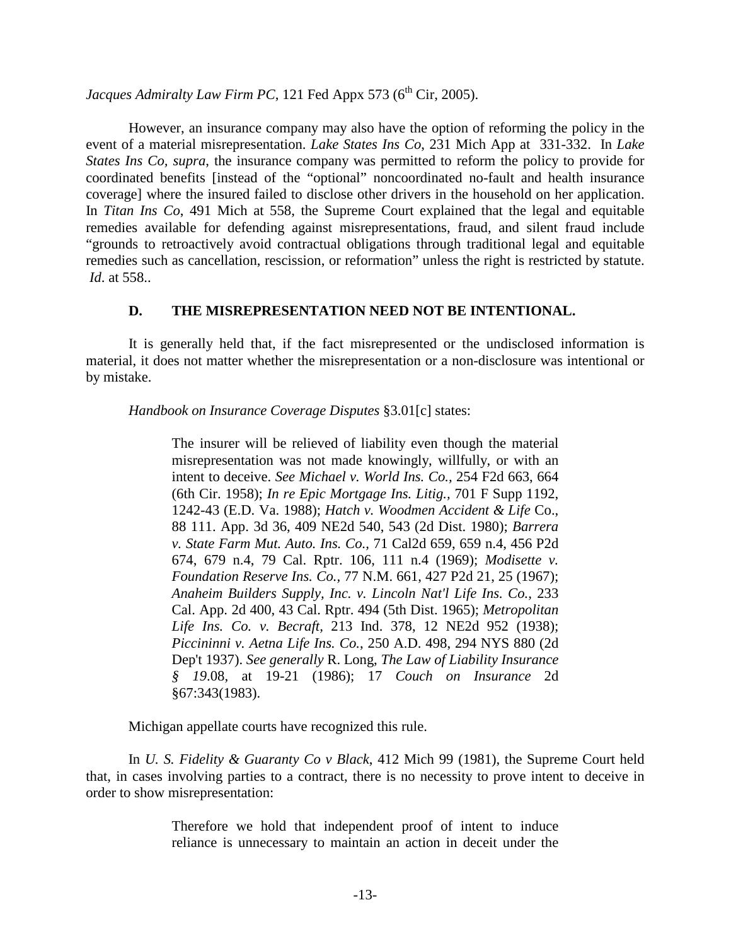# *Jacques Admiralty Law Firm PC*, 121 Fed Appx 573 ( $6<sup>th</sup> Cir, 2005$ ).

However, an insurance company may also have the option of reforming the policy in the event of a material misrepresentation. *Lake States Ins Co*, 231 Mich App at 331-332. In *Lake States Ins Co, supra*, the insurance company was permitted to reform the policy to provide for coordinated benefits [instead of the "optional" noncoordinated no-fault and health insurance coverage] where the insured failed to disclose other drivers in the household on her application. In *Titan Ins Co*, 491 Mich at 558, the Supreme Court explained that the legal and equitable remedies available for defending against misrepresentations, fraud, and silent fraud include "grounds to retroactively avoid contractual obligations through traditional legal and equitable remedies such as cancellation, rescission, or reformation" unless the right is restricted by statute. *Id*. at 558..

#### **D. THE MISREPRESENTATION NEED NOT BE INTENTIONAL.**

It is generally held that, if the fact misrepresented or the undisclosed information is material, it does not matter whether the misrepresentation or a non-disclosure was intentional or by mistake.

*Handbook on Insurance Coverage Disputes* §3.01[c] states:

The insurer will be relieved of liability even though the material misrepresentation was not made knowingly, willfully, or with an intent to deceive. *See Michael v. World Ins. Co.,* 254 F2d 663, 664 (6th Cir. 1958); *In re Epic Mortgage Ins. Litig.,* 701 F Supp 1192, 1242-43 (E.D. Va. 1988); *Hatch v. Woodmen Accident & Life* Co., 88 111. App. 3d 36, 409 NE2d 540, 543 (2d Dist. 1980); *Barrera v. State Farm Mut. Auto. Ins. Co.,* 71 Cal2d 659, 659 n.4, 456 P2d 674, 679 n.4, 79 Cal. Rptr. 106, 111 n.4 (1969); *Modisette v. Foundation Reserve Ins. Co.,* 77 N.M. 661, 427 P2d 21, 25 (1967); *Anaheim Builders Supply, Inc. v. Lincoln Nat'l Life Ins. Co.,* 233 Cal. App. 2d 400, 43 Cal. Rptr. 494 (5th Dist. 1965); *Metropolitan Life Ins. Co. v. Becraft,* 213 Ind. 378, 12 NE2d 952 (1938); *Piccininni v. Aetna Life Ins. Co.*, 250 A.D. 498, 294 NYS 880 (2d Dep't 1937). *See generally* R. Long, *The Law of Liability Insurance § 19*.08, at 19-21 (1986); 17 *Couch on Insurance* 2d §67:343(1983).

Michigan appellate courts have recognized this rule.

In *U. S. Fidelity & Guaranty Co v Black*, 412 Mich 99 (1981), the Supreme Court held that, in cases involving parties to a contract, there is no necessity to prove intent to deceive in order to show misrepresentation:

> Therefore we hold that independent proof of intent to induce reliance is unnecessary to maintain an action in deceit under the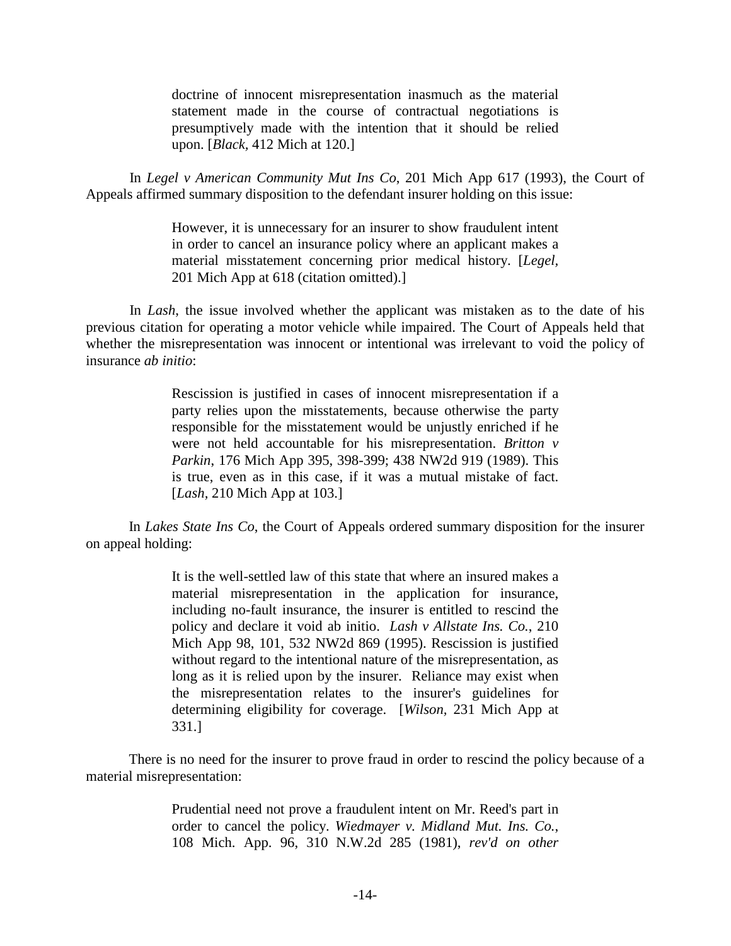doctrine of innocent misrepresentation inasmuch as the material statement made in the course of contractual negotiations is presumptively made with the intention that it should be relied upon. [*Black,* 412 Mich at 120.]

In *Legel v American Community Mut Ins Co*, 201 Mich App 617 (1993), the Court of Appeals affirmed summary disposition to the defendant insurer holding on this issue:

> However, it is unnecessary for an insurer to show fraudulent intent in order to cancel an insurance policy where an applicant makes a material misstatement concerning prior medical history. [*Legel,*  201 Mich App at 618 (citation omitted).]

In *Lash*, the issue involved whether the applicant was mistaken as to the date of his previous citation for operating a motor vehicle while impaired. The Court of Appeals held that whether the misrepresentation was innocent or intentional was irrelevant to void the policy of insurance *ab initio*:

> Rescission is justified in cases of innocent misrepresentation if a party relies upon the misstatements, because otherwise the party responsible for the misstatement would be unjustly enriched if he were not held accountable for his misrepresentation. *Britton v Parkin*, 176 Mich App 395, 398-399; 438 NW2d 919 (1989). This is true, even as in this case, if it was a mutual mistake of fact. [*Lash,* 210 Mich App at 103.]

In *Lakes State Ins Co*, the Court of Appeals ordered summary disposition for the insurer on appeal holding:

> It is the well-settled law of this state that where an insured makes a material misrepresentation in the application for insurance, including no-fault insurance, the insurer is entitled to rescind the policy and declare it void ab initio. *Lash v Allstate Ins. Co.*, 210 Mich App 98, 101, 532 NW2d 869 (1995). Rescission is justified without regard to the intentional nature of the misrepresentation, as long as it is relied upon by the insurer. Reliance may exist when the misrepresentation relates to the insurer's guidelines for determining eligibility for coverage. [*Wilson,* 231 Mich App at 331.]

There is no need for the insurer to prove fraud in order to rescind the policy because of a material misrepresentation:

> Prudential need not prove a fraudulent intent on Mr. Reed's part in order to cancel the policy. *Wiedmayer v. Midland Mut. Ins. Co.*, 108 Mich. App. 96, 310 N.W.2d 285 (1981), *rev'd on other*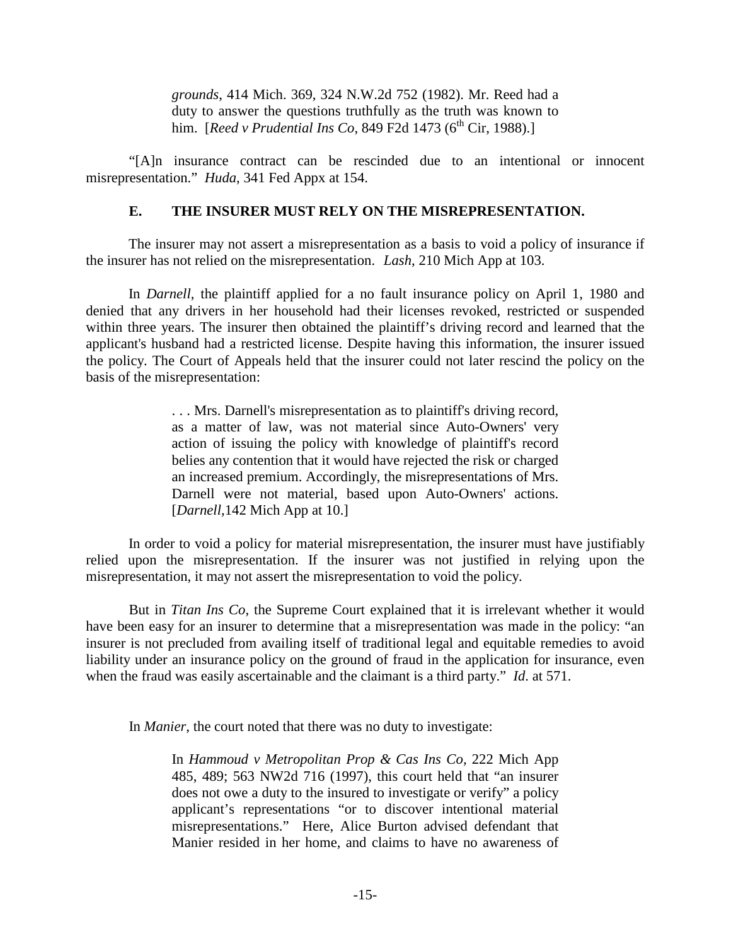*grounds*, 414 Mich. 369, 324 N.W.2d 752 (1982). Mr. Reed had a duty to answer the questions truthfully as the truth was known to him. [*Reed v Prudential Ins Co*, 849 F2d 1473 (6<sup>th</sup> Cir, 1988).]

"[A]n insurance contract can be rescinded due to an intentional or innocent misrepresentation." *Huda*, 341 Fed Appx at 154.

#### **E. THE INSURER MUST RELY ON THE MISREPRESENTATION.**

The insurer may not assert a misrepresentation as a basis to void a policy of insurance if the insurer has not relied on the misrepresentation. *Lash*, 210 Mich App at 103.

In *Darnell*, the plaintiff applied for a no fault insurance policy on April 1, 1980 and denied that any drivers in her household had their licenses revoked, restricted or suspended within three years. The insurer then obtained the plaintiff's driving record and learned that the applicant's husband had a restricted license. Despite having this information, the insurer issued the policy. The Court of Appeals held that the insurer could not later rescind the policy on the basis of the misrepresentation:

> . . . Mrs. Darnell's misrepresentation as to plaintiff's driving record, as a matter of law, was not material since Auto-Owners' very action of issuing the policy with knowledge of plaintiff's record belies any contention that it would have rejected the risk or charged an increased premium. Accordingly, the misrepresentations of Mrs. Darnell were not material, based upon Auto-Owners' actions. [*Darnell,*142 Mich App at 10.]

In order to void a policy for material misrepresentation, the insurer must have justifiably relied upon the misrepresentation. If the insurer was not justified in relying upon the misrepresentation, it may not assert the misrepresentation to void the policy.

But in *Titan Ins Co*, the Supreme Court explained that it is irrelevant whether it would have been easy for an insurer to determine that a misrepresentation was made in the policy: "an insurer is not precluded from availing itself of traditional legal and equitable remedies to avoid liability under an insurance policy on the ground of fraud in the application for insurance, even when the fraud was easily ascertainable and the claimant is a third party." *Id*. at 571.

In *Manier*, the court noted that there was no duty to investigate:

In *Hammoud v Metropolitan Prop & Cas Ins Co,* 222 Mich App 485, 489; 563 NW2d 716 (1997), this court held that "an insurer does not owe a duty to the insured to investigate or verify" a policy applicant's representations "or to discover intentional material misrepresentations." Here, Alice Burton advised defendant that Manier resided in her home, and claims to have no awareness of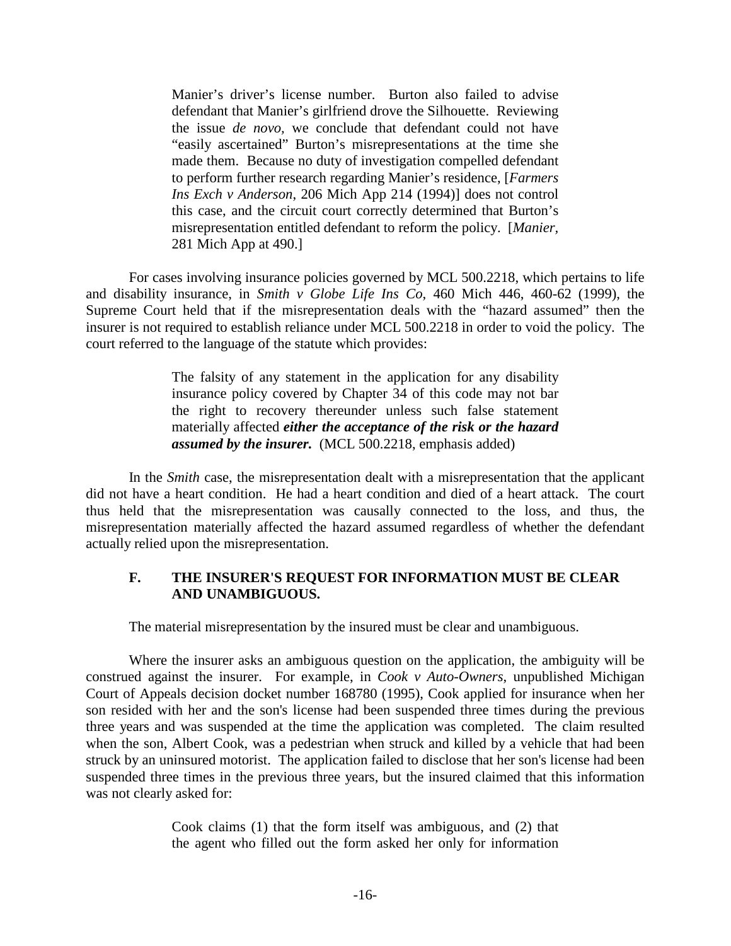Manier's driver's license number. Burton also failed to advise defendant that Manier's girlfriend drove the Silhouette. Reviewing the issue *de novo,* we conclude that defendant could not have "easily ascertained" Burton's misrepresentations at the time she made them. Because no duty of investigation compelled defendant to perform further research regarding Manier's residence, [*Farmers Ins Exch v Anderson*, 206 Mich App 214 (1994)] does not control this case, and the circuit court correctly determined that Burton's misrepresentation entitled defendant to reform the policy. [*Manier,* 281 Mich App at 490.]

For cases involving insurance policies governed by MCL 500.2218, which pertains to life and disability insurance, in *Smith v Globe Life Ins Co*, 460 Mich 446, 460-62 (1999), the Supreme Court held that if the misrepresentation deals with the "hazard assumed" then the insurer is not required to establish reliance under MCL 500.2218 in order to void the policy. The court referred to the language of the statute which provides:

> The falsity of any statement in the application for any disability insurance policy covered by Chapter 34 of this code may not bar the right to recovery thereunder unless such false statement materially affected *either the acceptance of the risk or the hazard assumed by the insurer.* (MCL 500.2218, emphasis added)

In the *Smith* case, the misrepresentation dealt with a misrepresentation that the applicant did not have a heart condition. He had a heart condition and died of a heart attack. The court thus held that the misrepresentation was causally connected to the loss, and thus, the misrepresentation materially affected the hazard assumed regardless of whether the defendant actually relied upon the misrepresentation.

# **F. THE INSURER'S REQUEST FOR INFORMATION MUST BE CLEAR AND UNAMBIGUOUS.**

The material misrepresentation by the insured must be clear and unambiguous.

Where the insurer asks an ambiguous question on the application, the ambiguity will be construed against the insurer. For example, in *Cook v Auto-Owners*, unpublished Michigan Court of Appeals decision docket number 168780 (1995), Cook applied for insurance when her son resided with her and the son's license had been suspended three times during the previous three years and was suspended at the time the application was completed. The claim resulted when the son, Albert Cook, was a pedestrian when struck and killed by a vehicle that had been struck by an uninsured motorist. The application failed to disclose that her son's license had been suspended three times in the previous three years, but the insured claimed that this information was not clearly asked for:

> Cook claims (1) that the form itself was ambiguous, and (2) that the agent who filled out the form asked her only for information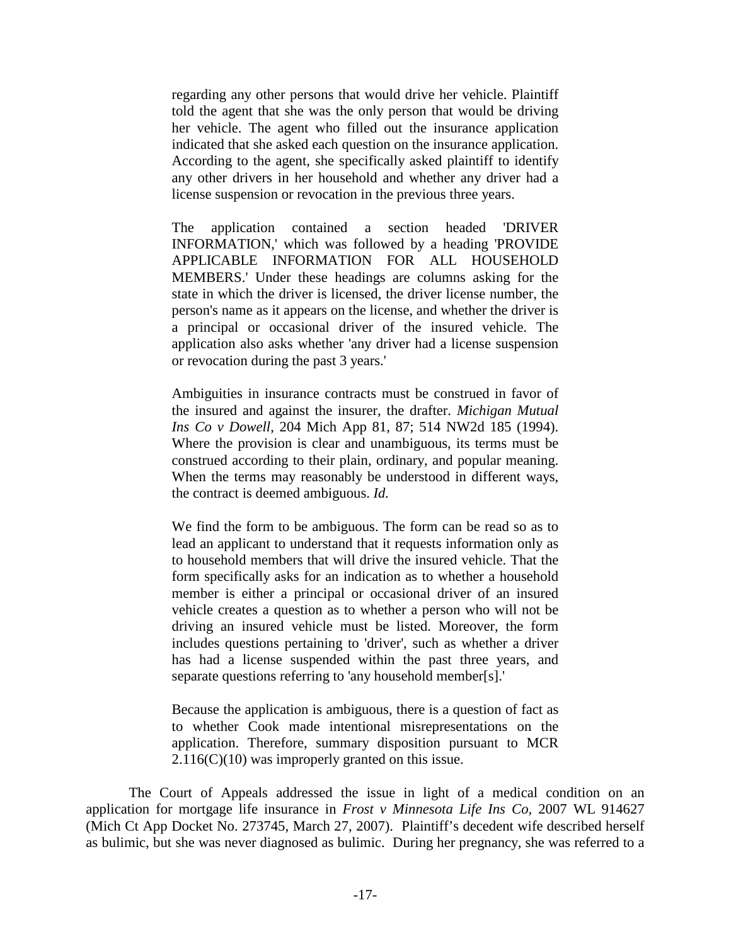regarding any other persons that would drive her vehicle. Plaintiff told the agent that she was the only person that would be driving her vehicle. The agent who filled out the insurance application indicated that she asked each question on the insurance application. According to the agent, she specifically asked plaintiff to identify any other drivers in her household and whether any driver had a license suspension or revocation in the previous three years.

The application contained a section headed 'DRIVER INFORMATION,' which was followed by a heading 'PROVIDE APPLICABLE INFORMATION FOR ALL HOUSEHOLD MEMBERS.' Under these headings are columns asking for the state in which the driver is licensed, the driver license number, the person's name as it appears on the license, and whether the driver is a principal or occasional driver of the insured vehicle. The application also asks whether 'any driver had a license suspension or revocation during the past 3 years.'

Ambiguities in insurance contracts must be construed in favor of the insured and against the insurer, the drafter. *Michigan Mutual Ins Co v Dowell*, 204 Mich App 81, 87; 514 NW2d 185 (1994). Where the provision is clear and unambiguous, its terms must be construed according to their plain, ordinary, and popular meaning. When the terms may reasonably be understood in different ways, the contract is deemed ambiguous. *Id.*

We find the form to be ambiguous. The form can be read so as to lead an applicant to understand that it requests information only as to household members that will drive the insured vehicle. That the form specifically asks for an indication as to whether a household member is either a principal or occasional driver of an insured vehicle creates a question as to whether a person who will not be driving an insured vehicle must be listed. Moreover, the form includes questions pertaining to 'driver', such as whether a driver has had a license suspended within the past three years, and separate questions referring to 'any household member[s].'

Because the application is ambiguous, there is a question of fact as to whether Cook made intentional misrepresentations on the application. Therefore, summary disposition pursuant to MCR  $2.116(C)(10)$  was improperly granted on this issue.

The Court of Appeals addressed the issue in light of a medical condition on an application for mortgage life insurance in *Frost v Minnesota Life Ins Co,* 2007 WL 914627 (Mich Ct App Docket No. 273745, March 27, 2007). Plaintiff's decedent wife described herself as bulimic, but she was never diagnosed as bulimic. During her pregnancy, she was referred to a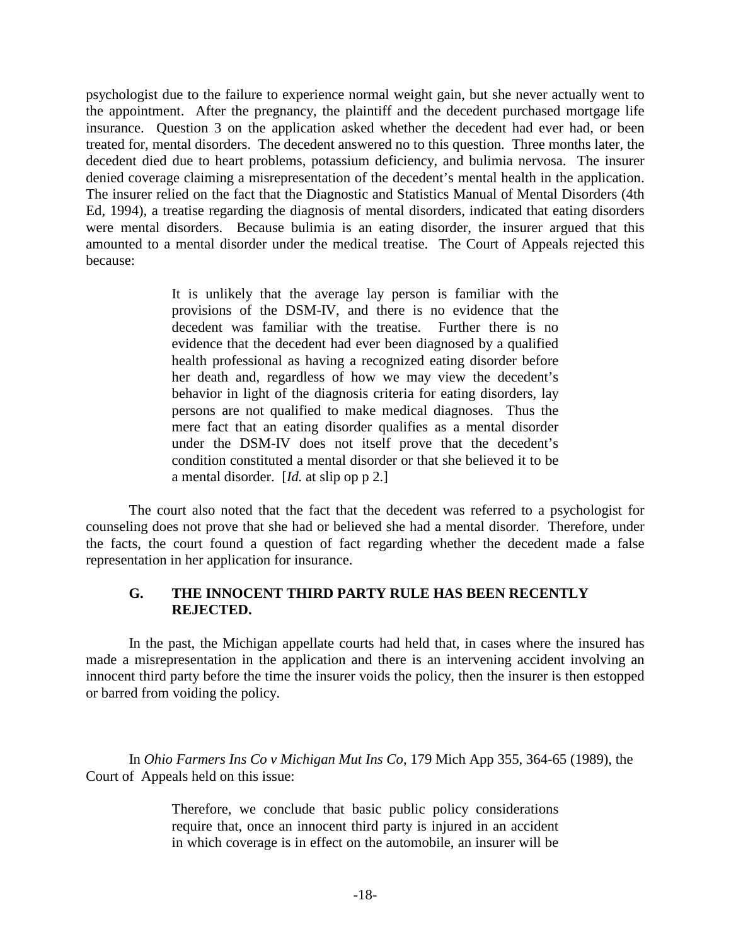psychologist due to the failure to experience normal weight gain, but she never actually went to the appointment. After the pregnancy, the plaintiff and the decedent purchased mortgage life insurance. Question 3 on the application asked whether the decedent had ever had, or been treated for, mental disorders. The decedent answered no to this question. Three months later, the decedent died due to heart problems, potassium deficiency, and bulimia nervosa. The insurer denied coverage claiming a misrepresentation of the decedent's mental health in the application. The insurer relied on the fact that the Diagnostic and Statistics Manual of Mental Disorders (4th Ed, 1994), a treatise regarding the diagnosis of mental disorders, indicated that eating disorders were mental disorders. Because bulimia is an eating disorder, the insurer argued that this amounted to a mental disorder under the medical treatise. The Court of Appeals rejected this because:

> It is unlikely that the average lay person is familiar with the provisions of the DSM-IV, and there is no evidence that the decedent was familiar with the treatise. Further there is no evidence that the decedent had ever been diagnosed by a qualified health professional as having a recognized eating disorder before her death and, regardless of how we may view the decedent's behavior in light of the diagnosis criteria for eating disorders, lay persons are not qualified to make medical diagnoses. Thus the mere fact that an eating disorder qualifies as a mental disorder under the DSM-IV does not itself prove that the decedent's condition constituted a mental disorder or that she believed it to be a mental disorder. [*Id.* at slip op p 2.]

The court also noted that the fact that the decedent was referred to a psychologist for counseling does not prove that she had or believed she had a mental disorder. Therefore, under the facts, the court found a question of fact regarding whether the decedent made a false representation in her application for insurance.

#### **G. THE INNOCENT THIRD PARTY RULE HAS BEEN RECENTLY REJECTED.**

In the past, the Michigan appellate courts had held that, in cases where the insured has made a misrepresentation in the application and there is an intervening accident involving an innocent third party before the time the insurer voids the policy, then the insurer is then estopped or barred from voiding the policy.

In *Ohio Farmers Ins Co v Michigan Mut Ins Co*, 179 Mich App 355, 364-65 (1989), the Court of Appeals held on this issue:

> Therefore, we conclude that basic public policy considerations require that, once an innocent third party is injured in an accident in which coverage is in effect on the automobile, an insurer will be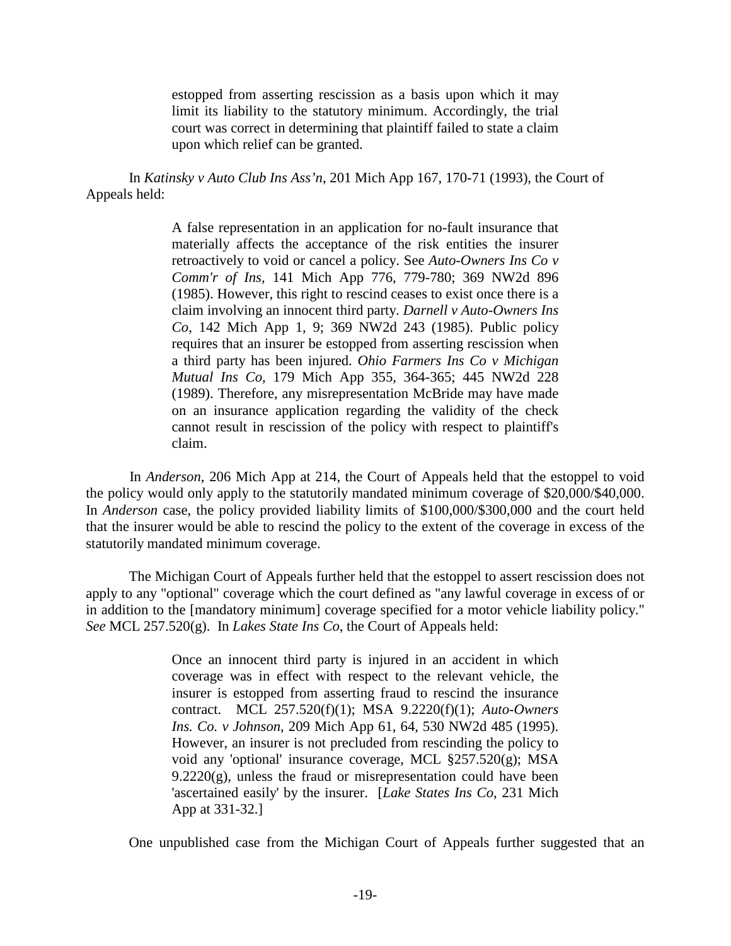estopped from asserting rescission as a basis upon which it may limit its liability to the statutory minimum. Accordingly, the trial court was correct in determining that plaintiff failed to state a claim upon which relief can be granted.

In *Katinsky v Auto Club Ins Ass'n*, 201 Mich App 167, 170-71 (1993), the Court of Appeals held:

> A false representation in an application for no-fault insurance that materially affects the acceptance of the risk entities the insurer retroactively to void or cancel a policy. See *Auto-Owners Ins Co v Comm'r of Ins,* 141 Mich App 776, 779-780; 369 NW2d 896 (1985). However, this right to rescind ceases to exist once there is a claim involving an innocent third party. *Darnell v Auto-Owners Ins Co,* 142 Mich App 1, 9; 369 NW2d 243 (1985). Public policy requires that an insurer be estopped from asserting rescission when a third party has been injured. *Ohio Farmers Ins Co v Michigan Mutual Ins Co,* 179 Mich App 355, 364-365; 445 NW2d 228 (1989). Therefore, any misrepresentation McBride may have made on an insurance application regarding the validity of the check cannot result in rescission of the policy with respect to plaintiff's claim.

In *Anderson*, 206 Mich App at 214, the Court of Appeals held that the estoppel to void the policy would only apply to the statutorily mandated minimum coverage of \$20,000/\$40,000. In *Anderson* case, the policy provided liability limits of \$100,000/\$300,000 and the court held that the insurer would be able to rescind the policy to the extent of the coverage in excess of the statutorily mandated minimum coverage.

The Michigan Court of Appeals further held that the estoppel to assert rescission does not apply to any "optional" coverage which the court defined as "any lawful coverage in excess of or in addition to the [mandatory minimum] coverage specified for a motor vehicle liability policy." *See* MCL 257.520(g). In *Lakes State Ins Co*, the Court of Appeals held:

> Once an innocent third party is injured in an accident in which coverage was in effect with respect to the relevant vehicle, the insurer is estopped from asserting fraud to rescind the insurance contract. MCL 257.520(f)(1); MSA 9.2220(f)(1); *Auto-Owners Ins. Co. v Johnson*, 209 Mich App 61, 64, 530 NW2d 485 (1995). However, an insurer is not precluded from rescinding the policy to void any 'optional' insurance coverage, MCL §257.520(g); MSA  $9.2220(g)$ , unless the fraud or misrepresentation could have been 'ascertained easily' by the insurer. [*Lake States Ins Co*, 231 Mich App at 331-32.]

One unpublished case from the Michigan Court of Appeals further suggested that an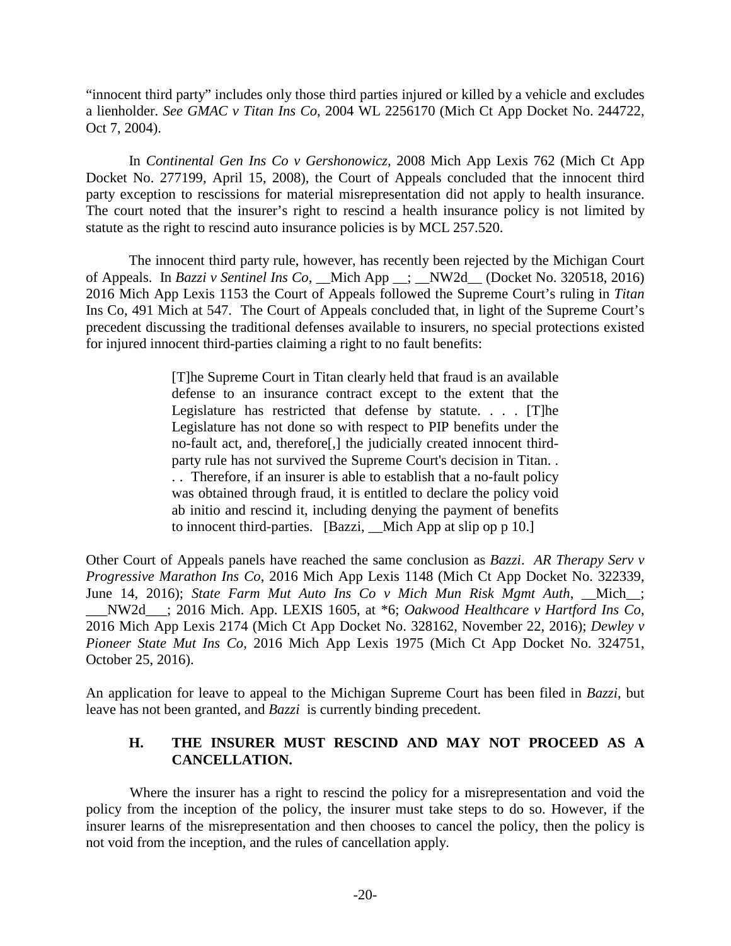"innocent third party" includes only those third parties injured or killed by a vehicle and excludes a lienholder. *See GMAC v Titan Ins Co*, 2004 WL 2256170 (Mich Ct App Docket No. 244722, Oct 7, 2004).

In *Continental Gen Ins Co v Gershonowicz,* 2008 Mich App Lexis 762 (Mich Ct App Docket No. 277199, April 15, 2008), the Court of Appeals concluded that the innocent third party exception to rescissions for material misrepresentation did not apply to health insurance. The court noted that the insurer's right to rescind a health insurance policy is not limited by statute as the right to rescind auto insurance policies is by MCL 257.520.

The innocent third party rule, however, has recently been rejected by the Michigan Court of Appeals. In *Bazzi v Sentinel Ins Co*, \_\_Mich App \_\_; \_\_NW2d\_\_ (Docket No. 320518, 2016) 2016 Mich App Lexis 1153 the Court of Appeals followed the Supreme Court's ruling in *Titan* Ins Co, 491 Mich at 547. The Court of Appeals concluded that, in light of the Supreme Court's precedent discussing the traditional defenses available to insurers, no special protections existed for injured innocent third-parties claiming a right to no fault benefits:

> [T]he Supreme Court in Titan clearly held that fraud is an available defense to an insurance contract except to the extent that the Legislature has restricted that defense by statute. . . .  $[T]$ he Legislature has not done so with respect to PIP benefits under the no-fault act, and, therefore[,] the judicially created innocent thirdparty rule has not survived the Supreme Court's decision in Titan. . . . Therefore, if an insurer is able to establish that a no-fault policy was obtained through fraud, it is entitled to declare the policy void ab initio and rescind it, including denying the payment of benefits to innocent third-parties. [Bazzi, \_\_Mich App at slip op p 10.]

Other Court of Appeals panels have reached the same conclusion as *Bazzi*. *AR Therapy Serv v Progressive Marathon Ins Co*, 2016 Mich App Lexis 1148 (Mich Ct App Docket No. 322339, June 14, 2016); *State Farm Mut Auto Ins Co v Mich Mun Risk Mgmt Auth*, \_\_Mich\_\_; \_\_\_NW2d\_\_\_; 2016 Mich. App. LEXIS 1605, at \*6; *Oakwood Healthcare v Hartford Ins Co*, 2016 Mich App Lexis 2174 (Mich Ct App Docket No. 328162, November 22, 2016); *Dewley v Pioneer State Mut Ins Co*, 2016 Mich App Lexis 1975 (Mich Ct App Docket No. 324751, October 25, 2016).

An application for leave to appeal to the Michigan Supreme Court has been filed in *Bazzi*, but leave has not been granted, and *Bazzi* is currently binding precedent.

# **H. THE INSURER MUST RESCIND AND MAY NOT PROCEED AS A CANCELLATION.**

Where the insurer has a right to rescind the policy for a misrepresentation and void the policy from the inception of the policy, the insurer must take steps to do so. However, if the insurer learns of the misrepresentation and then chooses to cancel the policy, then the policy is not void from the inception, and the rules of cancellation apply.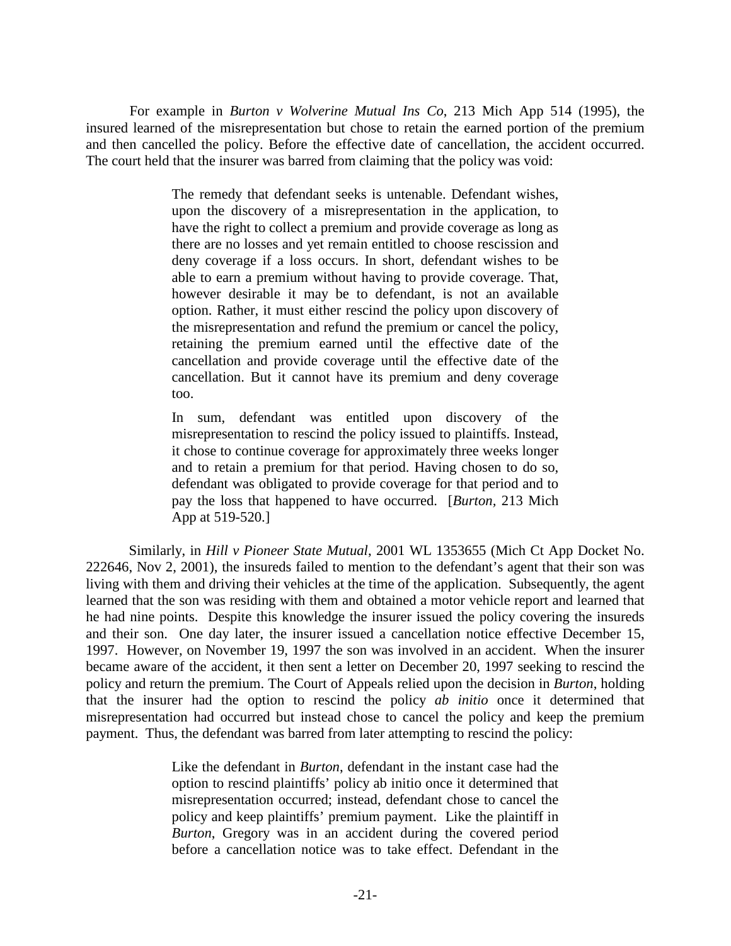For example in *Burton v Wolverine Mutual Ins Co*, 213 Mich App 514 (1995), the insured learned of the misrepresentation but chose to retain the earned portion of the premium and then cancelled the policy. Before the effective date of cancellation, the accident occurred. The court held that the insurer was barred from claiming that the policy was void:

> The remedy that defendant seeks is untenable. Defendant wishes, upon the discovery of a misrepresentation in the application, to have the right to collect a premium and provide coverage as long as there are no losses and yet remain entitled to choose rescission and deny coverage if a loss occurs. In short, defendant wishes to be able to earn a premium without having to provide coverage. That, however desirable it may be to defendant, is not an available option. Rather, it must either rescind the policy upon discovery of the misrepresentation and refund the premium or cancel the policy, retaining the premium earned until the effective date of the cancellation and provide coverage until the effective date of the cancellation. But it cannot have its premium and deny coverage too.

> In sum, defendant was entitled upon discovery of the misrepresentation to rescind the policy issued to plaintiffs. Instead, it chose to continue coverage for approximately three weeks longer and to retain a premium for that period. Having chosen to do so, defendant was obligated to provide coverage for that period and to pay the loss that happened to have occurred. [*Burton,* 213 Mich App at 519-520.]

Similarly, in *Hill v Pioneer State Mutual*, 2001 WL 1353655 (Mich Ct App Docket No. 222646, Nov 2, 2001), the insureds failed to mention to the defendant's agent that their son was living with them and driving their vehicles at the time of the application. Subsequently, the agent learned that the son was residing with them and obtained a motor vehicle report and learned that he had nine points. Despite this knowledge the insurer issued the policy covering the insureds and their son. One day later, the insurer issued a cancellation notice effective December 15, 1997. However, on November 19, 1997 the son was involved in an accident. When the insurer became aware of the accident, it then sent a letter on December 20, 1997 seeking to rescind the policy and return the premium. The Court of Appeals relied upon the decision in *Burton*, holding that the insurer had the option to rescind the policy *ab initio* once it determined that misrepresentation had occurred but instead chose to cancel the policy and keep the premium payment. Thus, the defendant was barred from later attempting to rescind the policy:

> Like the defendant in *Burton*, defendant in the instant case had the option to rescind plaintiffs' policy ab initio once it determined that misrepresentation occurred; instead, defendant chose to cancel the policy and keep plaintiffs' premium payment. Like the plaintiff in *Burton*, Gregory was in an accident during the covered period before a cancellation notice was to take effect. Defendant in the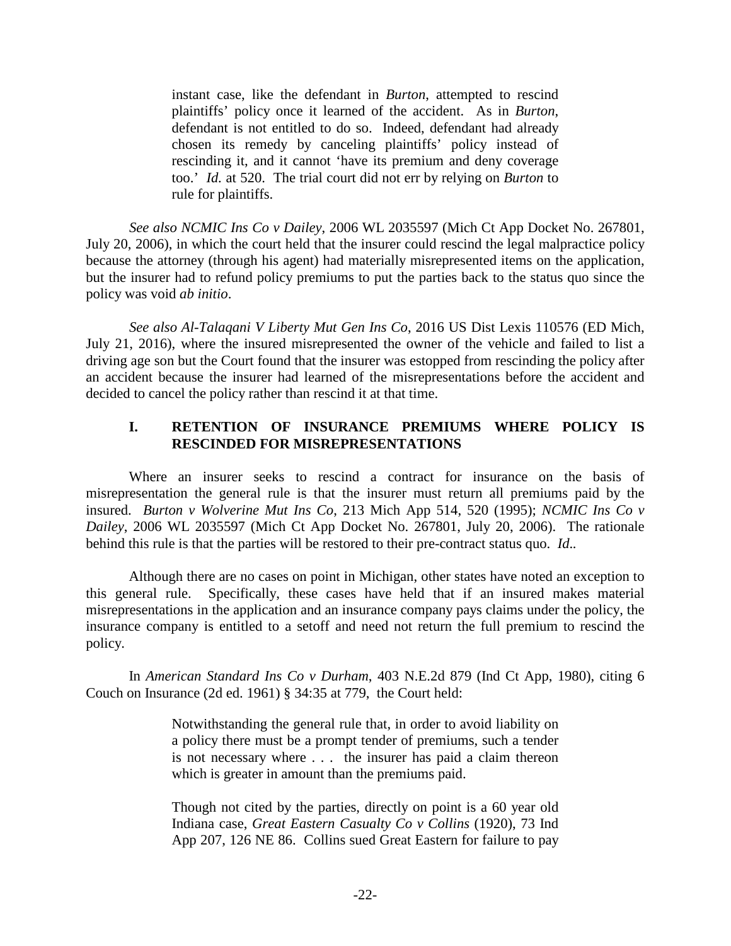instant case, like the defendant in *Burton*, attempted to rescind plaintiffs' policy once it learned of the accident. As in *Burton*, defendant is not entitled to do so. Indeed, defendant had already chosen its remedy by canceling plaintiffs' policy instead of rescinding it, and it cannot 'have its premium and deny coverage too.' *Id.* at 520. The trial court did not err by relying on *Burton* to rule for plaintiffs.

*See also NCMIC Ins Co v Dailey*, 2006 WL 2035597 (Mich Ct App Docket No. 267801, July 20, 2006), in which the court held that the insurer could rescind the legal malpractice policy because the attorney (through his agent) had materially misrepresented items on the application, but the insurer had to refund policy premiums to put the parties back to the status quo since the policy was void *ab initio*.

*See also Al-Talaqani V Liberty Mut Gen Ins Co*, 2016 US Dist Lexis 110576 (ED Mich, July 21, 2016), where the insured misrepresented the owner of the vehicle and failed to list a driving age son but the Court found that the insurer was estopped from rescinding the policy after an accident because the insurer had learned of the misrepresentations before the accident and decided to cancel the policy rather than rescind it at that time.

# **I. RETENTION OF INSURANCE PREMIUMS WHERE POLICY IS RESCINDED FOR MISREPRESENTATIONS**

Where an insurer seeks to rescind a contract for insurance on the basis of misrepresentation the general rule is that the insurer must return all premiums paid by the insured. *Burton v Wolverine Mut Ins Co*, 213 Mich App 514, 520 (1995); *NCMIC Ins Co v Dailey*, 2006 WL 2035597 (Mich Ct App Docket No. 267801, July 20, 2006). The rationale behind this rule is that the parties will be restored to their pre-contract status quo. *Id*.*.*

Although there are no cases on point in Michigan, other states have noted an exception to this general rule. Specifically, these cases have held that if an insured makes material misrepresentations in the application and an insurance company pays claims under the policy, the insurance company is entitled to a setoff and need not return the full premium to rescind the policy.

In *American Standard Ins Co v Durham*, 403 N.E.2d 879 (Ind Ct App, 1980), citing 6 Couch on Insurance (2d ed. 1961) § 34:35 at 779, the Court held:

> Notwithstanding the general rule that, in order to avoid liability on a policy there must be a prompt tender of premiums, such a tender is not necessary where . . . the insurer has paid a claim thereon which is greater in amount than the premiums paid.

> Though not cited by the parties, directly on point is a 60 year old Indiana case, *Great Eastern Casualty Co v Collins* (1920), 73 Ind App 207, 126 NE 86. Collins sued Great Eastern for failure to pay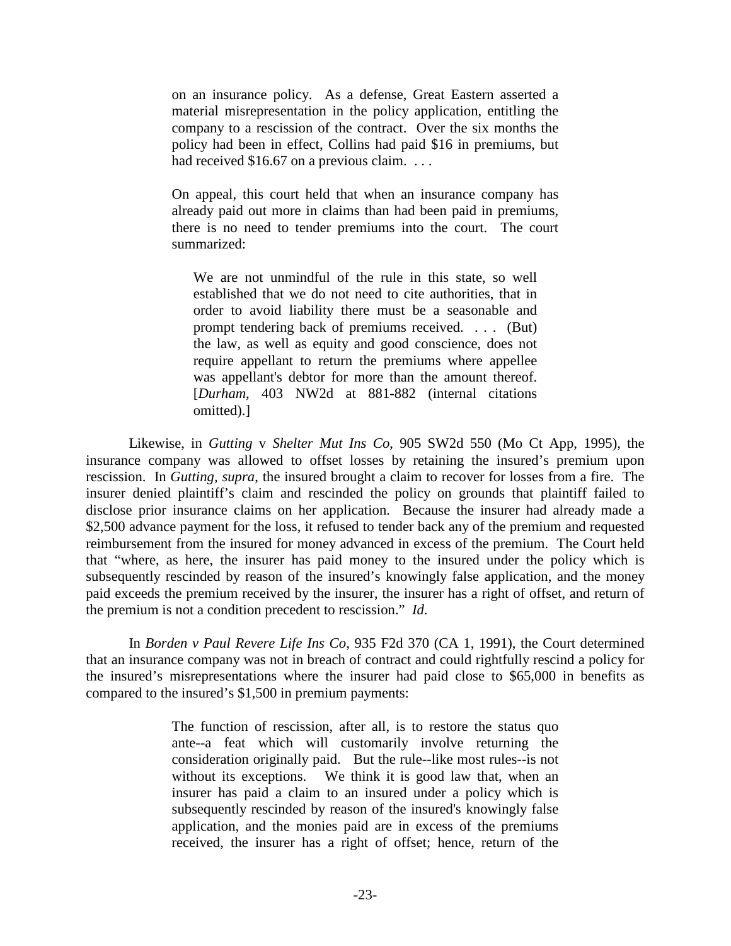on an insurance policy. As a defense, Great Eastern asserted a material misrepresentation in the policy application, entitling the company to a rescission of the contract. Over the six months the policy had been in effect, Collins had paid \$16 in premiums, but had received \$16.67 on a previous claim. ...

On appeal, this court held that when an insurance company has already paid out more in claims than had been paid in premiums, there is no need to tender premiums into the court. The court summarized:

We are not unmindful of the rule in this state, so well established that we do not need to cite authorities, that in order to avoid liability there must be a seasonable and prompt tendering back of premiums received. . . . (But) the law, as well as equity and good conscience, does not require appellant to return the premiums where appellee was appellant's debtor for more than the amount thereof. [*Durham,* 403 NW2d at 881-882 (internal citations omitted).]

Likewise, in *Gutting* v *Shelter Mut Ins Co*, 905 SW2d 550 (Mo Ct App, 1995), the insurance company was allowed to offset losses by retaining the insured's premium upon rescission. In *Gutting, supra*, the insured brought a claim to recover for losses from a fire. The insurer denied plaintiff's claim and rescinded the policy on grounds that plaintiff failed to disclose prior insurance claims on her application. Because the insurer had already made a \$2,500 advance payment for the loss, it refused to tender back any of the premium and requested reimbursement from the insured for money advanced in excess of the premium. The Court held that "where, as here, the insurer has paid money to the insured under the policy which is subsequently rescinded by reason of the insured's knowingly false application, and the money paid exceeds the premium received by the insurer, the insurer has a right of offset, and return of the premium is not a condition precedent to rescission." *Id*.

In *Borden v Paul Revere Life Ins Co*, 935 F2d 370 (CA 1, 1991), the Court determined that an insurance company was not in breach of contract and could rightfully rescind a policy for the insured's misrepresentations where the insurer had paid close to \$65,000 in benefits as compared to the insured's \$1,500 in premium payments:

> The function of rescission, after all, is to restore the status quo ante--a feat which will customarily involve returning the consideration originally paid. But the rule--like most rules--is not without its exceptions. We think it is good law that, when an insurer has paid a claim to an insured under a policy which is subsequently rescinded by reason of the insured's knowingly false application, and the monies paid are in excess of the premiums received, the insurer has a right of offset; hence, return of the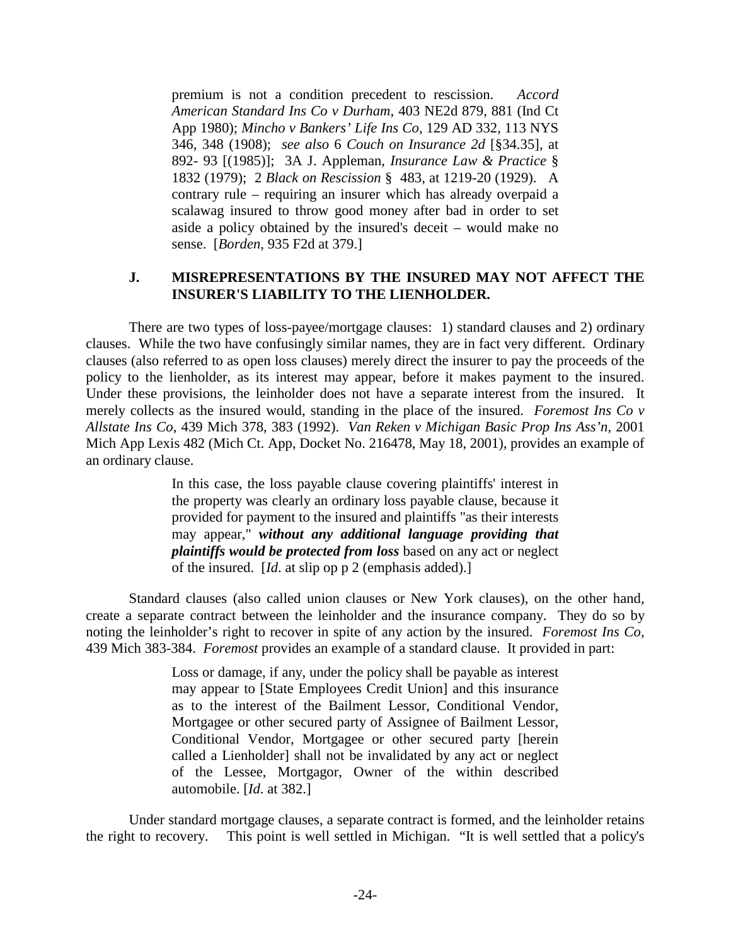premium is not a condition precedent to rescission. *Accord American Standard Ins Co v Durham*, 403 NE2d 879, 881 (Ind Ct App 1980); *Mincho v Bankers' Life Ins Co*, 129 AD 332, 113 NYS 346, 348 (1908); *see also* 6 *Couch on Insurance 2d* [§34.35]*,* at 892- 93 [(1985)]; 3A J. Appleman, *Insurance Law & Practice* § 1832 (1979); 2 *Black on Rescission* § 483, at 1219-20 (1929). A contrary rule – requiring an insurer which has already overpaid a scalawag insured to throw good money after bad in order to set aside a policy obtained by the insured's deceit – would make no sense. [*Borden,* 935 F2d at 379.]

# **J. MISREPRESENTATIONS BY THE INSURED MAY NOT AFFECT THE INSURER'S LIABILITY TO THE LIENHOLDER.**

There are two types of loss-payee/mortgage clauses: 1) standard clauses and 2) ordinary clauses. While the two have confusingly similar names, they are in fact very different. Ordinary clauses (also referred to as open loss clauses) merely direct the insurer to pay the proceeds of the policy to the lienholder, as its interest may appear, before it makes payment to the insured. Under these provisions, the leinholder does not have a separate interest from the insured. It merely collects as the insured would, standing in the place of the insured. *Foremost Ins Co v Allstate Ins Co*, 439 Mich 378, 383 (1992). *Van Reken v Michigan Basic Prop Ins Ass'n*, 2001 Mich App Lexis 482 (Mich Ct. App, Docket No. 216478, May 18, 2001), provides an example of an ordinary clause.

> In this case, the loss payable clause covering plaintiffs' interest in the property was clearly an ordinary loss payable clause, because it provided for payment to the insured and plaintiffs "as their interests may appear," *without any additional language providing that plaintiffs would be protected from loss* based on any act or neglect of the insured. [*Id*. at slip op p 2 (emphasis added).]

Standard clauses (also called union clauses or New York clauses), on the other hand, create a separate contract between the leinholder and the insurance company. They do so by noting the leinholder's right to recover in spite of any action by the insured. *Foremost Ins Co*, 439 Mich 383-384. *Foremost* provides an example of a standard clause. It provided in part:

> Loss or damage, if any, under the policy shall be payable as interest may appear to [State Employees Credit Union] and this insurance as to the interest of the Bailment Lessor, Conditional Vendor, Mortgagee or other secured party of Assignee of Bailment Lessor, Conditional Vendor, Mortgagee or other secured party [herein called a Lienholder] shall not be invalidated by any act or neglect of the Lessee, Mortgagor, Owner of the within described automobile. [*Id*. at 382.]

Under standard mortgage clauses, a separate contract is formed, and the leinholder retains the right to recovery. This point is well settled in Michigan. "It is well settled that a policy's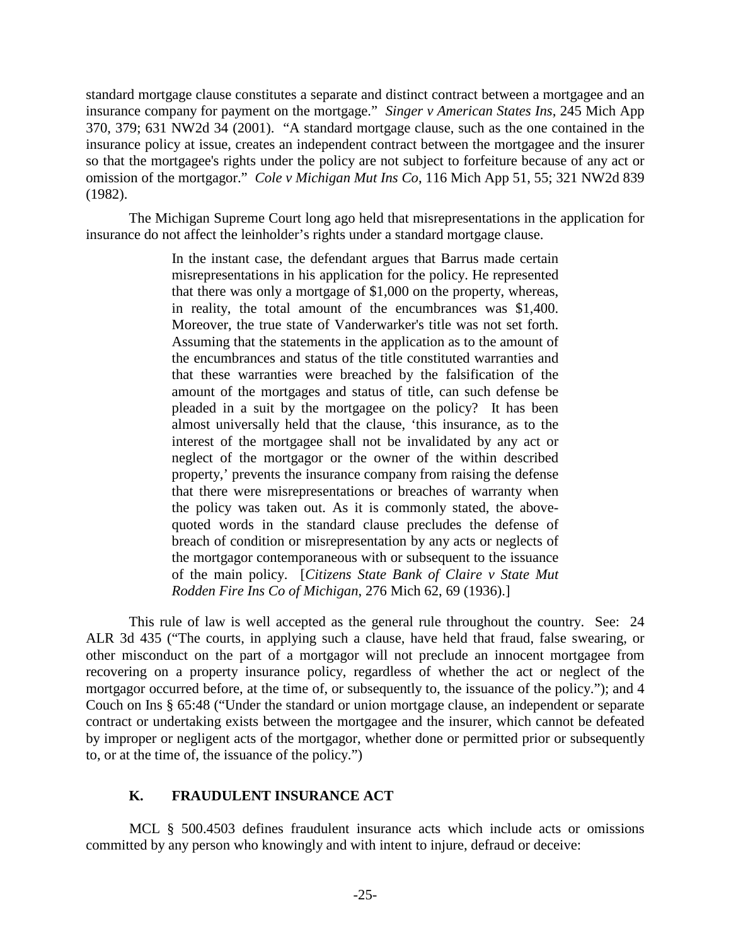standard mortgage clause constitutes a separate and distinct contract between a mortgagee and an insurance company for payment on the mortgage." *Singer v American States Ins*, 245 Mich App 370, 379; 631 NW2d 34 (2001). "A standard mortgage clause, such as the one contained in the insurance policy at issue, creates an independent contract between the mortgagee and the insurer so that the mortgagee's rights under the policy are not subject to forfeiture because of any act or omission of the mortgagor." *Cole v Michigan Mut Ins Co*, 116 Mich App 51, 55; 321 NW2d 839 (1982).

The Michigan Supreme Court long ago held that misrepresentations in the application for insurance do not affect the leinholder's rights under a standard mortgage clause.

> In the instant case, the defendant argues that Barrus made certain misrepresentations in his application for the policy. He represented that there was only a mortgage of \$1,000 on the property, whereas, in reality, the total amount of the encumbrances was \$1,400. Moreover, the true state of Vanderwarker's title was not set forth. Assuming that the statements in the application as to the amount of the encumbrances and status of the title constituted warranties and that these warranties were breached by the falsification of the amount of the mortgages and status of title, can such defense be pleaded in a suit by the mortgagee on the policy? It has been almost universally held that the clause, 'this insurance, as to the interest of the mortgagee shall not be invalidated by any act or neglect of the mortgagor or the owner of the within described property,' prevents the insurance company from raising the defense that there were misrepresentations or breaches of warranty when the policy was taken out. As it is commonly stated, the abovequoted words in the standard clause precludes the defense of breach of condition or misrepresentation by any acts or neglects of the mortgagor contemporaneous with or subsequent to the issuance of the main policy. [*Citizens State Bank of Claire v State Mut Rodden Fire Ins Co of Michigan*, 276 Mich 62, 69 (1936).]

This rule of law is well accepted as the general rule throughout the country. See: 24 ALR 3d 435 ("The courts, in applying such a clause, have held that fraud, false swearing, or other misconduct on the part of a mortgagor will not preclude an innocent mortgagee from recovering on a property insurance policy, regardless of whether the act or neglect of the mortgagor occurred before, at the time of, or subsequently to, the issuance of the policy."); and 4 Couch on Ins § 65:48 ("Under the standard or union mortgage clause, an independent or separate contract or undertaking exists between the mortgagee and the insurer, which cannot be defeated by improper or negligent acts of the mortgagor, whether done or permitted prior or subsequently to, or at the time of, the issuance of the policy.")

# **K. FRAUDULENT INSURANCE ACT**

MCL § 500.4503 defines fraudulent insurance acts which include acts or omissions committed by any person who knowingly and with intent to injure, defraud or deceive: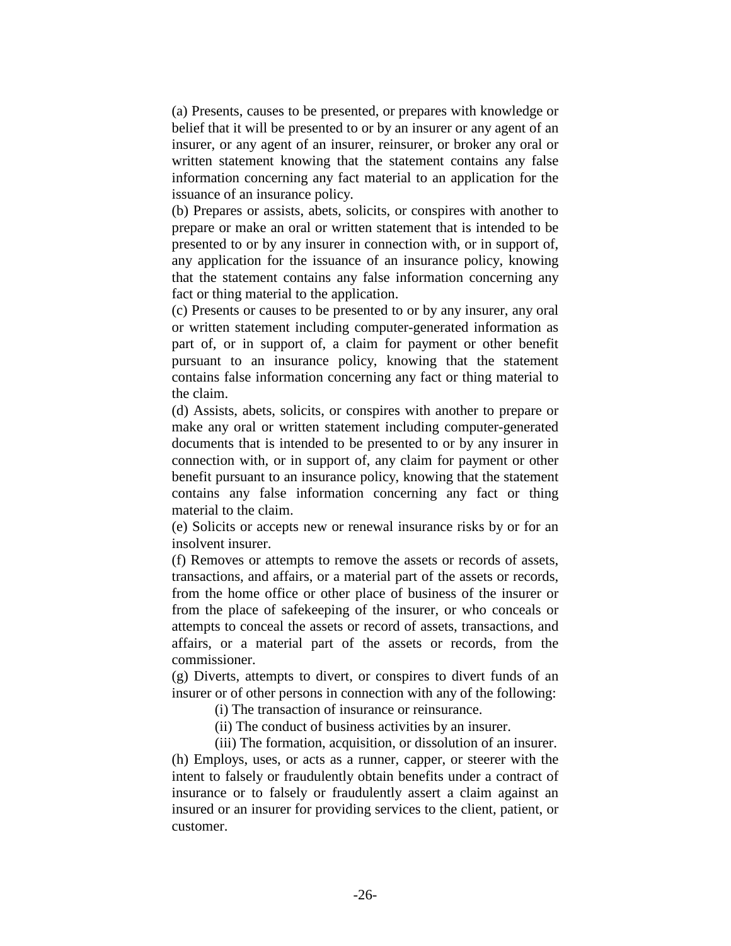(a) Presents, causes to be presented, or prepares with knowledge or belief that it will be presented to or by an insurer or any agent of an insurer, or any agent of an insurer, reinsurer, or broker any oral or written statement knowing that the statement contains any false information concerning any fact material to an application for the issuance of an insurance policy.

(b) Prepares or assists, abets, solicits, or conspires with another to prepare or make an oral or written statement that is intended to be presented to or by any insurer in connection with, or in support of, any application for the issuance of an insurance policy, knowing that the statement contains any false information concerning any fact or thing material to the application.

(c) Presents or causes to be presented to or by any insurer, any oral or written statement including computer-generated information as part of, or in support of, a claim for payment or other benefit pursuant to an insurance policy, knowing that the statement contains false information concerning any fact or thing material to the claim.

(d) Assists, abets, solicits, or conspires with another to prepare or make any oral or written statement including computer-generated documents that is intended to be presented to or by any insurer in connection with, or in support of, any claim for payment or other benefit pursuant to an insurance policy, knowing that the statement contains any false information concerning any fact or thing material to the claim.

(e) Solicits or accepts new or renewal insurance risks by or for an insolvent insurer.

(f) Removes or attempts to remove the assets or records of assets, transactions, and affairs, or a material part of the assets or records, from the home office or other place of business of the insurer or from the place of safekeeping of the insurer, or who conceals or attempts to conceal the assets or record of assets, transactions, and affairs, or a material part of the assets or records, from the commissioner.

(g) Diverts, attempts to divert, or conspires to divert funds of an insurer or of other persons in connection with any of the following:

(i) The transaction of insurance or reinsurance.

(ii) The conduct of business activities by an insurer.

(iii) The formation, acquisition, or dissolution of an insurer. (h) Employs, uses, or acts as a runner, capper, or steerer with the intent to falsely or fraudulently obtain benefits under a contract of insurance or to falsely or fraudulently assert a claim against an insured or an insurer for providing services to the client, patient, or customer.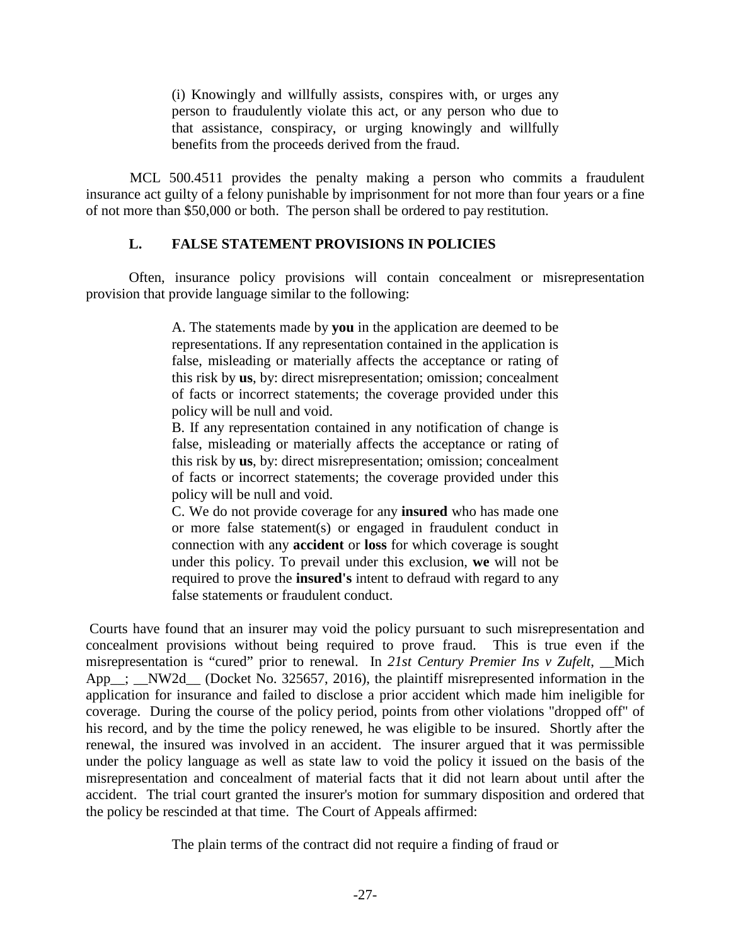(i) Knowingly and willfully assists, conspires with, or urges any person to fraudulently violate this act, or any person who due to that assistance, conspiracy, or urging knowingly and willfully benefits from the proceeds derived from the fraud.

MCL 500.4511 provides the penalty making a person who commits a fraudulent insurance act guilty of a felony punishable by imprisonment for not more than four years or a fine of not more than \$50,000 or both. The person shall be ordered to pay restitution.

# **L. FALSE STATEMENT PROVISIONS IN POLICIES**

Often, insurance policy provisions will contain concealment or misrepresentation provision that provide language similar to the following:

> A. The statements made by **you** in the application are deemed to be representations. If any representation contained in the application is false, misleading or materially affects the acceptance or rating of this risk by **us**, by: direct misrepresentation; omission; concealment of facts or incorrect statements; the coverage provided under this policy will be null and void.

> B. If any representation contained in any notification of change is false, misleading or materially affects the acceptance or rating of this risk by **us**, by: direct misrepresentation; omission; concealment of facts or incorrect statements; the coverage provided under this policy will be null and void.

> C. We do not provide coverage for any **insured** who has made one or more false statement(s) or engaged in fraudulent conduct in connection with any **accident** or **loss** for which coverage is sought under this policy. To prevail under this exclusion, **we** will not be required to prove the **insured's** intent to defraud with regard to any false statements or fraudulent conduct.

Courts have found that an insurer may void the policy pursuant to such misrepresentation and concealment provisions without being required to prove fraud. This is true even if the misrepresentation is "cured" prior to renewal. In *21st Century Premier Ins v Zufelt*, \_\_Mich App<sub>\_\_</sub>; \_NW2d\_ (Docket No. 325657, 2016), the plaintiff misrepresented information in the application for insurance and failed to disclose a prior accident which made him ineligible for coverage. During the course of the policy period, points from other violations "dropped off" of his record, and by the time the policy renewed, he was eligible to be insured. Shortly after the renewal, the insured was involved in an accident. The insurer argued that it was permissible under the policy language as well as state law to void the policy it issued on the basis of the misrepresentation and concealment of material facts that it did not learn about until after the accident. The trial court granted the insurer's motion for summary disposition and ordered that the policy be rescinded at that time. The Court of Appeals affirmed:

The plain terms of the contract did not require a finding of fraud or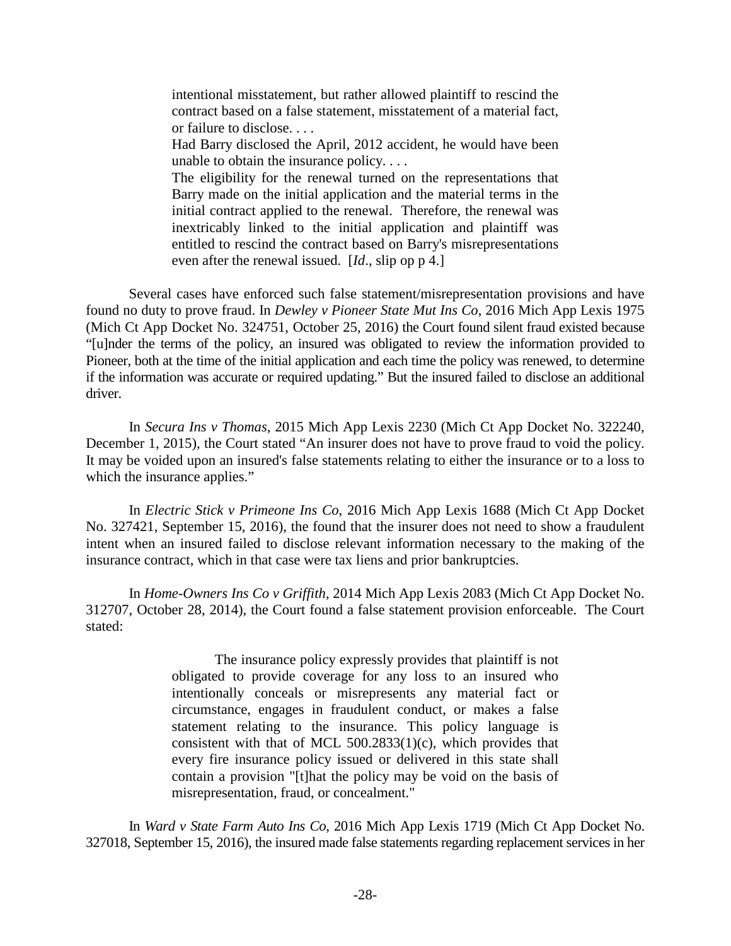intentional misstatement, but rather allowed plaintiff to rescind the contract based on a false statement, misstatement of a material fact, or failure to disclose. . . .

Had Barry disclosed the April, 2012 accident, he would have been unable to obtain the insurance policy. . . .

The eligibility for the renewal turned on the representations that Barry made on the initial application and the material terms in the initial contract applied to the renewal. Therefore, the renewal was inextricably linked to the initial application and plaintiff was entitled to rescind the contract based on Barry's misrepresentations even after the renewal issued. [*Id*., slip op p 4.]

Several cases have enforced such false statement/misrepresentation provisions and have found no duty to prove fraud. In *Dewley v Pioneer State Mut Ins Co*, 2016 Mich App Lexis 1975 (Mich Ct App Docket No. 324751, October 25, 2016) the Court found silent fraud existed because "[u]nder the terms of the policy, an insured was obligated to review the information provided to Pioneer, both at the time of the initial application and each time the policy was renewed, to determine if the information was accurate or required updating." But the insured failed to disclose an additional driver.

In *Secura Ins v Thomas*, 2015 Mich App Lexis 2230 (Mich Ct App Docket No. 322240, December 1, 2015), the Court stated "An insurer does not have to prove fraud to void the policy. It may be voided upon an insured's false statements relating to either the insurance or to a loss to which the insurance applies."

In *Electric Stick v Primeone Ins Co*, 2016 Mich App Lexis 1688 (Mich Ct App Docket No. 327421, September 15, 2016), the found that the insurer does not need to show a fraudulent intent when an insured failed to disclose relevant information necessary to the making of the insurance contract, which in that case were tax liens and prior bankruptcies.

In *Home-Owners Ins Co v Griffith*, 2014 Mich App Lexis 2083 (Mich Ct App Docket No. 312707, October 28, 2014), the Court found a false statement provision enforceable. The Court stated:

> The insurance policy expressly provides that plaintiff is not obligated to provide coverage for any loss to an insured who intentionally conceals or misrepresents any material fact or circumstance, engages in fraudulent conduct, or makes a false statement relating to the insurance. This policy language is consistent with that of MCL 500.2833(1)(c), which provides that every fire insurance policy issued or delivered in this state shall contain a provision "[t]hat the policy may be void on the basis of misrepresentation, fraud, or concealment."

In *Ward v State Farm Auto Ins Co*, 2016 Mich App Lexis 1719 (Mich Ct App Docket No. 327018, September 15, 2016), the insured made false statements regarding replacement services in her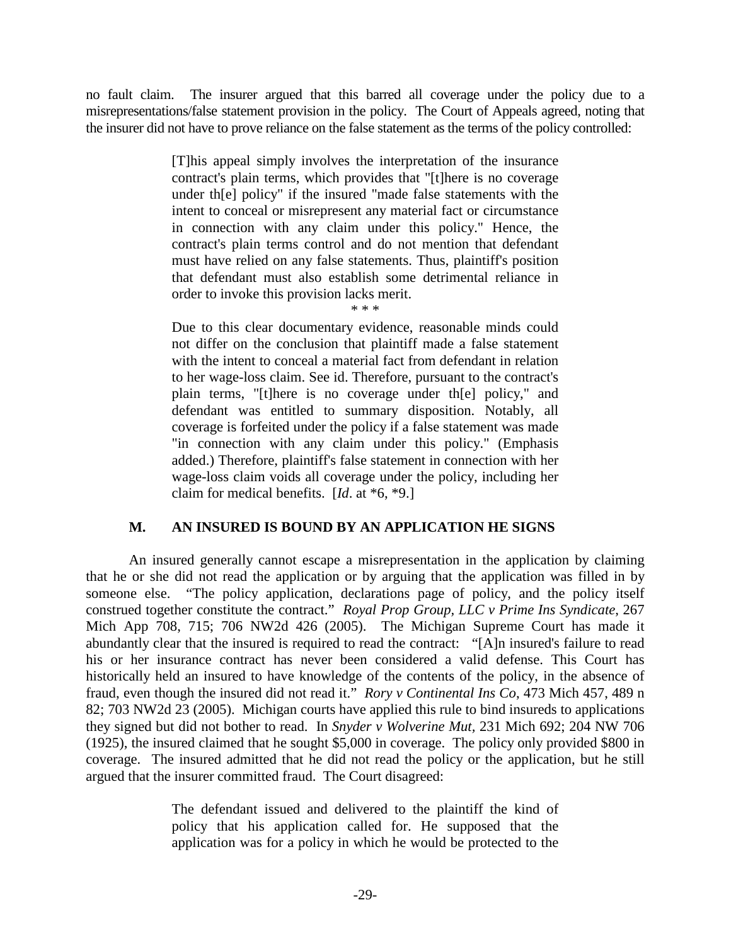no fault claim. The insurer argued that this barred all coverage under the policy due to a misrepresentations/false statement provision in the policy. The Court of Appeals agreed, noting that the insurer did not have to prove reliance on the false statement as the terms of the policy controlled:

> [T]his appeal simply involves the interpretation of the insurance contract's plain terms, which provides that "[t]here is no coverage under th[e] policy" if the insured "made false statements with the intent to conceal or misrepresent any material fact or circumstance in connection with any claim under this policy." Hence, the contract's plain terms control and do not mention that defendant must have relied on any false statements. Thus, plaintiff's position that defendant must also establish some detrimental reliance in order to invoke this provision lacks merit. \* \* \*

> Due to this clear documentary evidence, reasonable minds could not differ on the conclusion that plaintiff made a false statement with the intent to conceal a material fact from defendant in relation to her wage-loss claim. See id. Therefore, pursuant to the contract's plain terms, "[t]here is no coverage under th[e] policy," and defendant was entitled to summary disposition. Notably, all coverage is forfeited under the policy if a false statement was made "in connection with any claim under this policy." (Emphasis added.) Therefore, plaintiff's false statement in connection with her wage-loss claim voids all coverage under the policy, including her claim for medical benefits. [*Id*. at \*6, \*9.]

# **M. AN INSURED IS BOUND BY AN APPLICATION HE SIGNS**

An insured generally cannot escape a misrepresentation in the application by claiming that he or she did not read the application or by arguing that the application was filled in by someone else. "The policy application, declarations page of policy, and the policy itself construed together constitute the contract." *Royal Prop Group, LLC v Prime Ins Syndicate*, 267 Mich App 708, 715; 706 NW2d 426 (2005). The Michigan Supreme Court has made it abundantly clear that the insured is required to read the contract: "[A]n insured's failure to read his or her insurance contract has never been considered a valid defense. This Court has historically held an insured to have knowledge of the contents of the policy, in the absence of fraud, even though the insured did not read it." *Rory v Continental Ins Co*, 473 Mich 457, 489 n 82; 703 NW2d 23 (2005). Michigan courts have applied this rule to bind insureds to applications they signed but did not bother to read. In *Snyder v Wolverine Mut,* 231 Mich 692; 204 NW 706 (1925), the insured claimed that he sought \$5,000 in coverage. The policy only provided \$800 in coverage. The insured admitted that he did not read the policy or the application, but he still argued that the insurer committed fraud. The Court disagreed:

> The defendant issued and delivered to the plaintiff the kind of policy that his application called for. He supposed that the application was for a policy in which he would be protected to the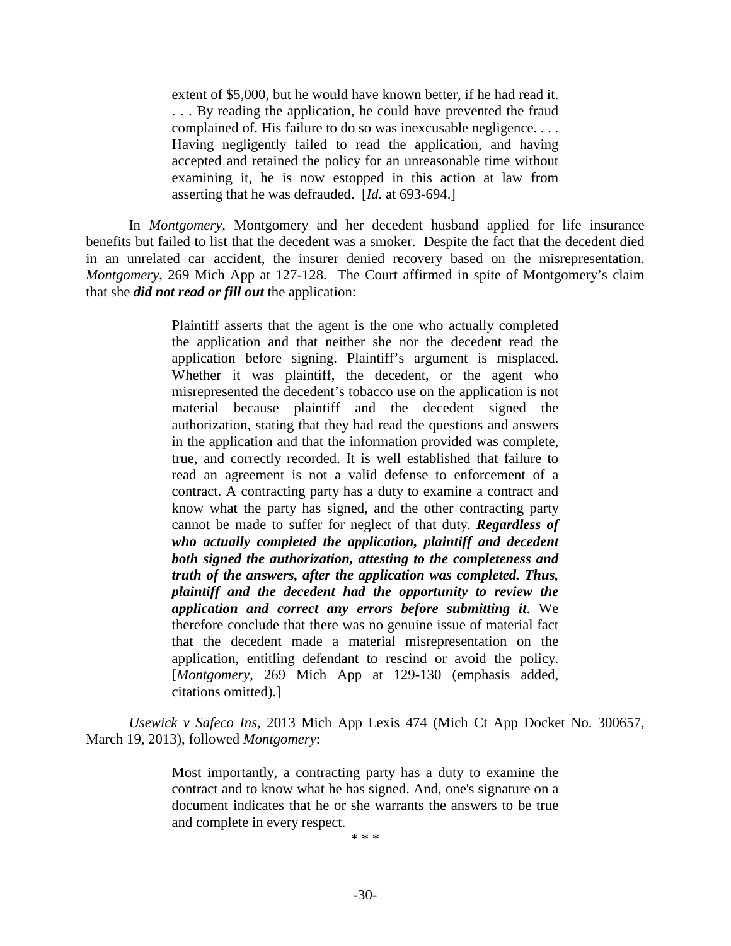extent of \$5,000, but he would have known better, if he had read it. . . . By reading the application, he could have prevented the fraud complained of. His failure to do so was inexcusable negligence. . . . Having negligently failed to read the application, and having accepted and retained the policy for an unreasonable time without examining it, he is now estopped in this action at law from asserting that he was defrauded. [*Id*. at 693-694.]

In *Montgomery*, Montgomery and her decedent husband applied for life insurance benefits but failed to list that the decedent was a smoker. Despite the fact that the decedent died in an unrelated car accident, the insurer denied recovery based on the misrepresentation. *Montgomery*, 269 Mich App at 127-128. The Court affirmed in spite of Montgomery's claim that she *did not read or fill out* the application:

> Plaintiff asserts that the agent is the one who actually completed the application and that neither she nor the decedent read the application before signing. Plaintiff's argument is misplaced. Whether it was plaintiff, the decedent, or the agent who misrepresented the decedent's tobacco use on the application is not material because plaintiff and the decedent signed the authorization, stating that they had read the questions and answers in the application and that the information provided was complete, true, and correctly recorded. It is well established that failure to read an agreement is not a valid defense to enforcement of a contract. A contracting party has a duty to examine a contract and know what the party has signed, and the other contracting party cannot be made to suffer for neglect of that duty. *Regardless of who actually completed the application, plaintiff and decedent both signed the authorization, attesting to the completeness and truth of the answers, after the application was completed. Thus, plaintiff and the decedent had the opportunity to review the application and correct any errors before submitting it*. We therefore conclude that there was no genuine issue of material fact that the decedent made a material misrepresentation on the application, entitling defendant to rescind or avoid the policy. [*Montgomery*, 269 Mich App at 129-130 (emphasis added, citations omitted).]

*Usewick v Safeco Ins*, 2013 Mich App Lexis 474 (Mich Ct App Docket No. 300657, March 19, 2013), followed *Montgomery*:

> Most importantly, a contracting party has a duty to examine the contract and to know what he has signed. And, one's signature on a document indicates that he or she warrants the answers to be true and complete in every respect.

\* \* \*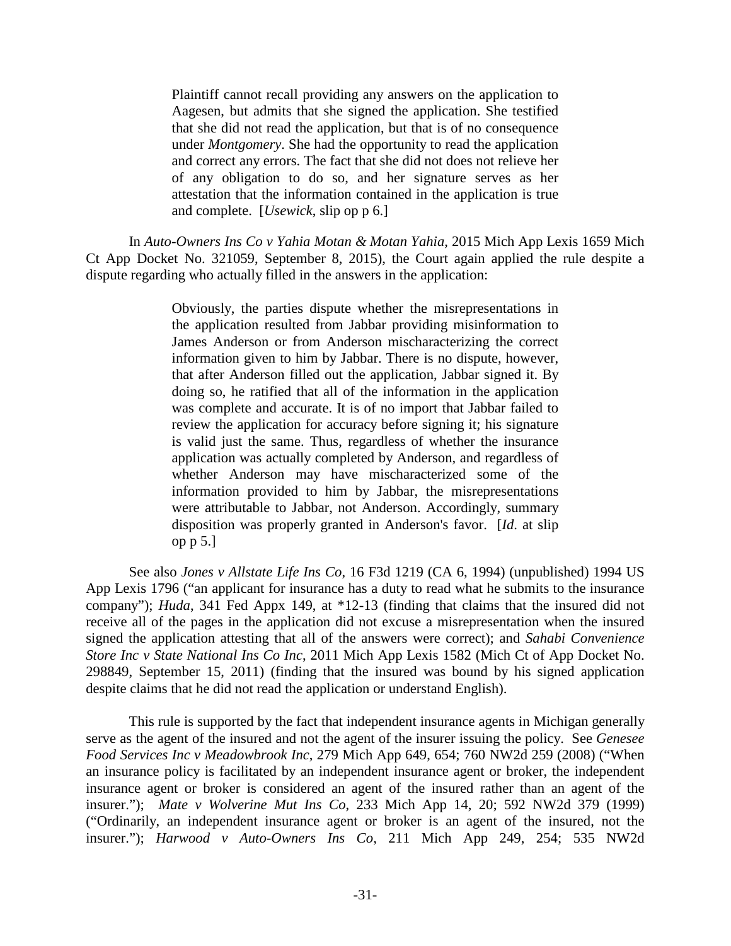Plaintiff cannot recall providing any answers on the application to Aagesen, but admits that she signed the application. She testified that she did not read the application, but that is of no consequence under *Montgomery*. She had the opportunity to read the application and correct any errors. The fact that she did not does not relieve her of any obligation to do so, and her signature serves as her attestation that the information contained in the application is true and complete. [*Usewick*, slip op p 6.]

In *Auto-Owners Ins Co v Yahia Motan & Motan Yahia*, 2015 Mich App Lexis 1659 Mich Ct App Docket No. 321059, September 8, 2015), the Court again applied the rule despite a dispute regarding who actually filled in the answers in the application:

> Obviously, the parties dispute whether the misrepresentations in the application resulted from Jabbar providing misinformation to James Anderson or from Anderson mischaracterizing the correct information given to him by Jabbar. There is no dispute, however, that after Anderson filled out the application, Jabbar signed it. By doing so, he ratified that all of the information in the application was complete and accurate. It is of no import that Jabbar failed to review the application for accuracy before signing it; his signature is valid just the same. Thus, regardless of whether the insurance application was actually completed by Anderson, and regardless of whether Anderson may have mischaracterized some of the information provided to him by Jabbar, the misrepresentations were attributable to Jabbar, not Anderson. Accordingly, summary disposition was properly granted in Anderson's favor. [*Id*. at slip op p 5.]

See also *Jones v Allstate Life Ins Co*, 16 F3d 1219 (CA 6, 1994) (unpublished) 1994 US App Lexis 1796 ("an applicant for insurance has a duty to read what he submits to the insurance company"); *Huda*, 341 Fed Appx 149, at \*12-13 (finding that claims that the insured did not receive all of the pages in the application did not excuse a misrepresentation when the insured signed the application attesting that all of the answers were correct); and *Sahabi Convenience Store Inc v State National Ins Co Inc*, 2011 Mich App Lexis 1582 (Mich Ct of App Docket No. 298849, September 15, 2011) (finding that the insured was bound by his signed application despite claims that he did not read the application or understand English).

This rule is supported by the fact that independent insurance agents in Michigan generally serve as the agent of the insured and not the agent of the insurer issuing the policy. See *Genesee Food Services Inc v Meadowbrook Inc*, 279 Mich App 649, 654; 760 NW2d 259 (2008) ("When an insurance policy is facilitated by an independent insurance agent or broker, the independent insurance agent or broker is considered an agent of the insured rather than an agent of the insurer."); *Mate v Wolverine Mut Ins Co*, 233 Mich App 14, 20; 592 NW2d 379 (1999) ("Ordinarily, an independent insurance agent or broker is an agent of the insured, not the insurer."); *Harwood v Auto-Owners Ins Co*, 211 Mich App 249, 254; 535 NW2d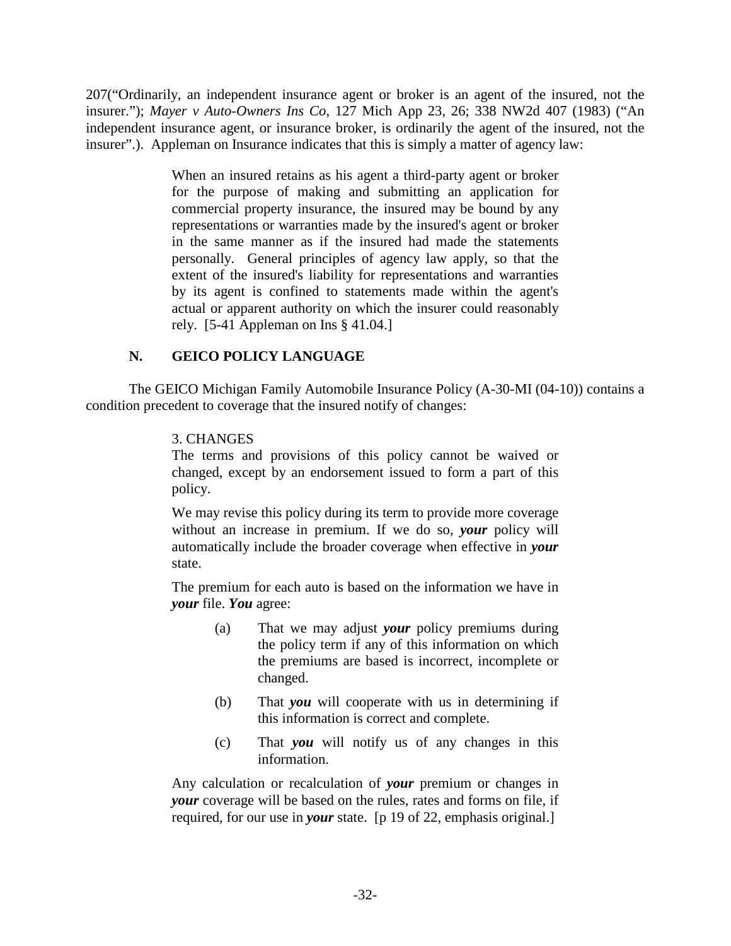207("Ordinarily, an independent insurance agent or broker is an agent of the insured, not the insurer."); *Mayer v Auto-Owners Ins Co*, 127 Mich App 23, 26; 338 NW2d 407 (1983) ("An independent insurance agent, or insurance broker, is ordinarily the agent of the insured, not the insurer".). Appleman on Insurance indicates that this is simply a matter of agency law:

> When an insured retains as his agent a third-party agent or broker for the purpose of making and submitting an application for commercial property insurance, the insured may be bound by any representations or warranties made by the insured's agent or broker in the same manner as if the insured had made the statements personally. General principles of agency law apply, so that the extent of the insured's liability for representations and warranties by its agent is confined to statements made within the agent's actual or apparent authority on which the insurer could reasonably rely. [5-41 Appleman on Ins § 41.04.]

# **N. GEICO POLICY LANGUAGE**

The GEICO Michigan Family Automobile Insurance Policy (A-30-MI (04-10)) contains a condition precedent to coverage that the insured notify of changes:

# 3. CHANGES

The terms and provisions of this policy cannot be waived or changed, except by an endorsement issued to form a part of this policy.

We may revise this policy during its term to provide more coverage without an increase in premium. If we do so, *your* policy will automatically include the broader coverage when effective in *your*  state.

The premium for each auto is based on the information we have in *your* file. *You* agree:

- (a) That we may adjust *your* policy premiums during the policy term if any of this information on which the premiums are based is incorrect, incomplete or changed.
- (b) That *you* will cooperate with us in determining if this information is correct and complete.
- (c) That *you* will notify us of any changes in this information.

Any calculation or recalculation of *your* premium or changes in *your* coverage will be based on the rules, rates and forms on file, if required, for our use in *your* state. [p 19 of 22, emphasis original.]